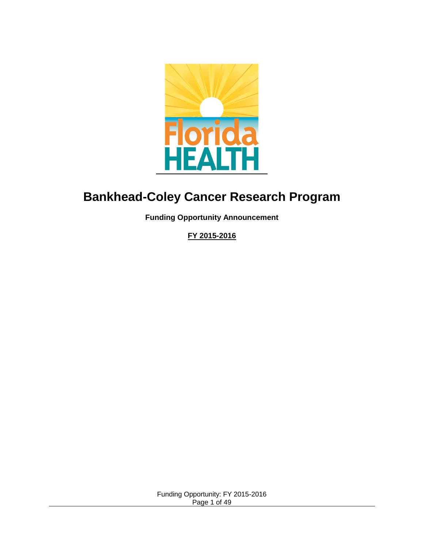

# **Bankhead-Coley Cancer Research Program**

**Funding Opportunity Announcement** 

**FY 2015-2016**

Funding Opportunity: FY 2015-2016 Page 1 of 49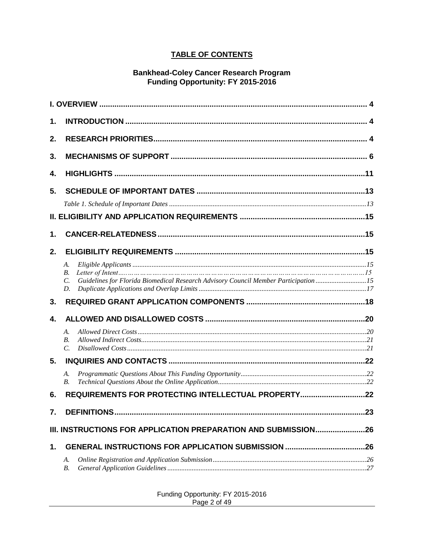### **TABLE OF CONTENTS**

# Bankhead-Coley Cancer Research Program<br>Funding Opportunity: FY 2015-2016

| 1.               |                                                                                                              |     |
|------------------|--------------------------------------------------------------------------------------------------------------|-----|
| 2.               |                                                                                                              |     |
| 3.               |                                                                                                              |     |
| 4.               |                                                                                                              |     |
| 5.               |                                                                                                              |     |
|                  |                                                                                                              |     |
|                  |                                                                                                              |     |
| 1.               |                                                                                                              |     |
| 2.               |                                                                                                              |     |
|                  | А.                                                                                                           |     |
|                  | В.<br>Guidelines for Florida Biomedical Research Advisory Council Member Participation 15<br>$\mathcal{C}$ . |     |
|                  | D.                                                                                                           |     |
| 3.               |                                                                                                              |     |
| 4.               |                                                                                                              |     |
|                  | A.                                                                                                           |     |
|                  | <i>B.</i>                                                                                                    |     |
| 5.               | $\mathcal{C}$ .                                                                                              |     |
|                  | A.                                                                                                           |     |
|                  | <i>B.</i>                                                                                                    |     |
| 6.               | REQUIREMENTS FOR PROTECTING INTELLECTUAL PROPERTY22                                                          |     |
| $\overline{7}$ . |                                                                                                              | .23 |
|                  | III. INSTRUCTIONS FOR APPLICATION PREPARATION AND SUBMISSION26                                               |     |
| 1.               |                                                                                                              |     |
|                  | А.<br>В.                                                                                                     |     |

| Funding Opportunity: FY 2015-2016 |  |
|-----------------------------------|--|
| Page 2 of 49                      |  |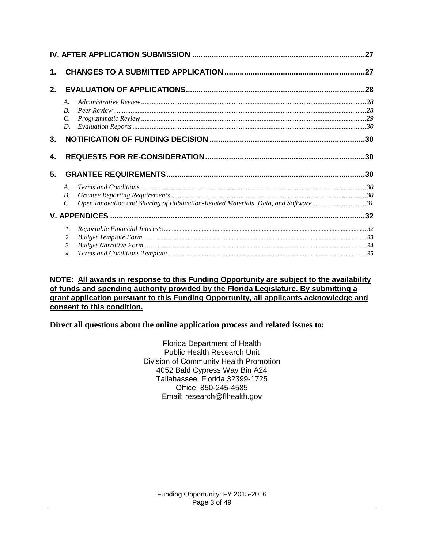|          |                    |                                                                                    | .27 |
|----------|--------------------|------------------------------------------------------------------------------------|-----|
| 1.       |                    |                                                                                    |     |
| 2.       |                    |                                                                                    |     |
|          | A.                 |                                                                                    |     |
|          | $\boldsymbol{B}$ . |                                                                                    |     |
|          | $\mathcal{C}$ .    |                                                                                    |     |
|          | D.                 |                                                                                    |     |
| 3.       |                    |                                                                                    |     |
| 4.<br>5. |                    |                                                                                    |     |
|          |                    |                                                                                    |     |
|          | A.                 |                                                                                    |     |
|          | $B$ .              |                                                                                    |     |
|          | $\mathcal{C}$ .    | Open Innovation and Sharing of Publication-Related Materials, Data, and Software31 |     |
|          |                    |                                                                                    |     |
|          | $I_{\cdot}$        |                                                                                    |     |
|          | 2.                 |                                                                                    |     |
|          | 3.                 |                                                                                    |     |
|          | $\overline{4}$ .   |                                                                                    |     |

#### **NOTE: All awards in response to this Funding Opportunity are subject to the availability of funds and spending authority provided by the Florida Legislature. By submitting a grant application pursuant to this Funding Opportunity, all applicants acknowledge and consent to this condition.**

**Direct all questions about the online application process and related issues to:**

Florida Department of Health Public Health Research Unit Division of Community Health Promotion 4052 Bald Cypress Way Bin A24 Tallahassee, Florida 32399-1725 Office: 850-245-4585 Email: research@flhealth.gov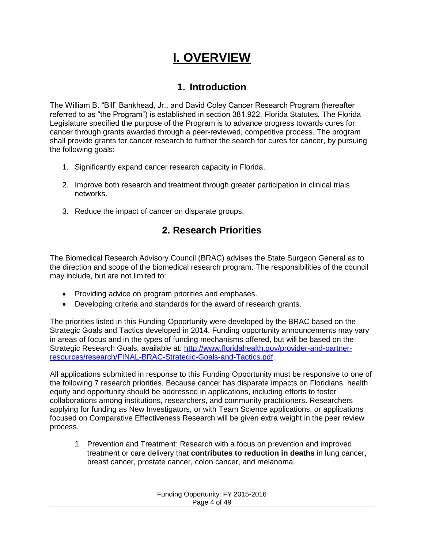# **I. OVERVIEW**

## **1. Introduction**

<span id="page-3-1"></span><span id="page-3-0"></span>The William B. "Bill" Bankhead, Jr., and David Coley Cancer Research Program (hereafter referred to as "the Program") is established in section 381.922, Florida Statutes*.* The Florida Legislature specified the purpose of the Program is to advance progress towards cures for cancer through grants awarded through a peer-reviewed, competitive process. The program shall provide grants for cancer research to further the search for cures for cancer, by pursuing the following goals:

- 1. Significantly expand cancer research capacity in Florida.
- 2. Improve both research and treatment through greater participation in clinical trials networks.
- <span id="page-3-2"></span>3. Reduce the impact of cancer on disparate groups.

# **2. Research Priorities**

The Biomedical Research Advisory Council (BRAC) advises the State Surgeon General as to the direction and scope of the biomedical research program. The responsibilities of the council may include, but are not limited to:

- Providing advice on program priorities and emphases.
- Developing criteria and standards for the award of research grants.

The priorities listed in this Funding Opportunity were developed by the BRAC based on the Strategic Goals and Tactics developed in 2014. Funding opportunity announcements may vary in areas of focus and in the types of funding mechanisms offered, but will be based on the Strategic Research Goals, available at: [http://www.floridahealth.gov/provider-and-partner](http://www.floridahealth.gov/provider-and-partner-resources/research/FINAL-BRAC-Strategic-Goals-and-Tactics.pdf)[resources/research/FINAL-BRAC-Strategic-Goals-and-Tactics.pdf.](http://www.floridahealth.gov/provider-and-partner-resources/research/FINAL-BRAC-Strategic-Goals-and-Tactics.pdf)

All applications submitted in response to this Funding Opportunity must be responsive to one of the following 7 research priorities. Because cancer has disparate impacts on Floridians, health equity and opportunity should be addressed in applications, including efforts to foster collaborations among institutions, researchers, and community practitioners. Researchers applying for funding as New Investigators, or with Team Science applications, or applications focused on Comparative Effectiveness Research will be given extra weight in the peer review process.

1. Prevention and Treatment: Research with a focus on prevention and improved treatment or care delivery that **contributes to reduction in deaths** in lung cancer, breast cancer, prostate cancer, colon cancer, and melanoma.

| Funding Opportunity: FY 2015-2016 |  |
|-----------------------------------|--|
| Page 4 of 49                      |  |
|                                   |  |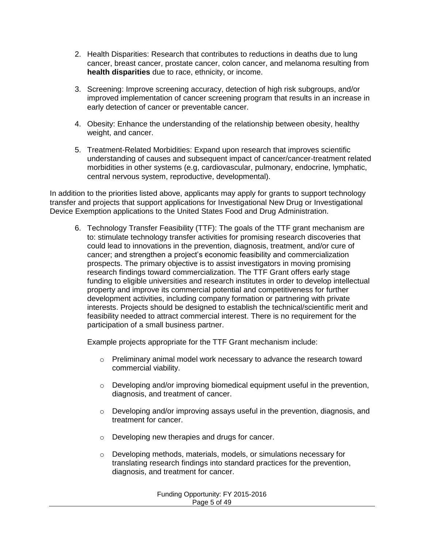- 2. Health Disparities: Research that contributes to reductions in deaths due to lung cancer, breast cancer, prostate cancer, colon cancer, and melanoma resulting from **health disparities** due to race, ethnicity, or income.
- 3. Screening: Improve screening accuracy, detection of high risk subgroups, and/or improved implementation of cancer screening program that results in an increase in early detection of cancer or preventable cancer.
- 4. Obesity: Enhance the understanding of the relationship between obesity, healthy weight, and cancer.
- 5. Treatment-Related Morbidities: Expand upon research that improves scientific understanding of causes and subsequent impact of cancer/cancer-treatment related morbidities in other systems (e.g, cardiovascular, pulmonary, endocrine, lymphatic, central nervous system, reproductive, developmental).

In addition to the priorities listed above, applicants may apply for grants to support technology transfer and projects that support applications for Investigational New Drug or Investigational Device Exemption applications to the United States Food and Drug Administration.

6. Technology Transfer Feasibility (TTF): The goals of the TTF grant mechanism are to: stimulate technology transfer activities for promising research discoveries that could lead to innovations in the prevention, diagnosis, treatment, and/or cure of cancer; and strengthen a project's economic feasibility and commercialization prospects. The primary objective is to assist investigators in moving promising research findings toward commercialization. The TTF Grant offers early stage funding to eligible universities and research institutes in order to develop intellectual property and improve its commercial potential and competitiveness for further development activities, including company formation or partnering with private interests. Projects should be designed to establish the technical/scientific merit and feasibility needed to attract commercial interest. There is no requirement for the participation of a small business partner.

Example projects appropriate for the TTF Grant mechanism include:

- $\circ$  Preliminary animal model work necessary to advance the research toward commercial viability.
- $\circ$  Developing and/or improving biomedical equipment useful in the prevention, diagnosis, and treatment of cancer.
- o Developing and/or improving assays useful in the prevention, diagnosis, and treatment for cancer.
- o Developing new therapies and drugs for cancer.
- o Developing methods, materials, models, or simulations necessary for translating research findings into standard practices for the prevention, diagnosis, and treatment for cancer.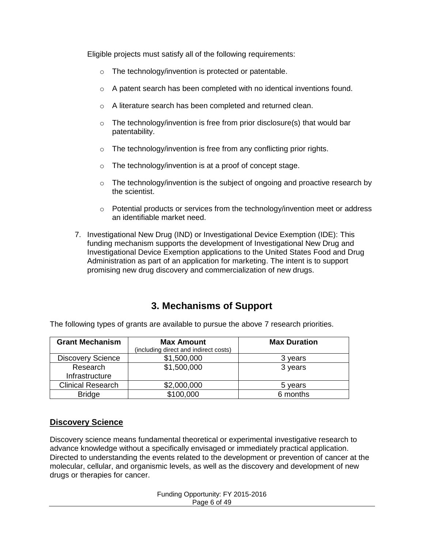Eligible projects must satisfy all of the following requirements:

- o The technology/invention is protected or patentable.
- o A patent search has been completed with no identical inventions found.
- o A literature search has been completed and returned clean.
- $\circ$  The technology/invention is free from prior disclosure(s) that would bar patentability.
- $\circ$  The technology/invention is free from any conflicting prior rights.
- o The technology/invention is at a proof of concept stage.
- $\circ$  The technology/invention is the subject of ongoing and proactive research by the scientist.
- $\circ$  Potential products or services from the technology/invention meet or address an identifiable market need.
- 7. Investigational New Drug (IND) or Investigational Device Exemption (IDE): This funding mechanism supports the development of Investigational New Drug and Investigational Device Exemption applications to the United States Food and Drug Administration as part of an application for marketing. The intent is to support promising new drug discovery and commercialization of new drugs.

## **3. Mechanisms of Support**

| <b>Grant Mechanism</b>   | <b>Max Amount</b><br>(including direct and indirect costs) | <b>Max Duration</b> |  |  |
|--------------------------|------------------------------------------------------------|---------------------|--|--|
| <b>Discovery Science</b> | \$1,500,000                                                | 3 years             |  |  |
| Research                 | \$1,500,000                                                | 3 years             |  |  |
| Infrastructure           |                                                            |                     |  |  |
| <b>Clinical Research</b> | \$2,000,000                                                | 5 years             |  |  |
| <b>Bridge</b>            | \$100,000                                                  | 6 months            |  |  |

<span id="page-5-0"></span>The following types of grants are available to pursue the above 7 research priorities.

#### **Discovery Science**

Discovery science means fundamental theoretical or experimental investigative research to advance knowledge without a specifically envisaged or immediately practical application. Directed to understanding the events related to the development or prevention of cancer at the molecular, cellular, and organismic levels, as well as the discovery and development of new drugs or therapies for cancer.

> Funding Opportunity: FY 2015-2016 Page 6 of 49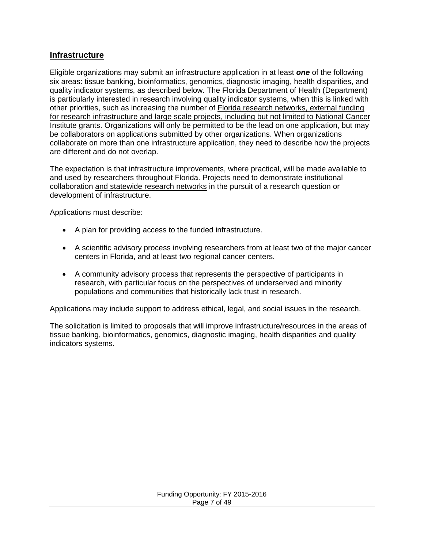### **Infrastructure**

Eligible organizations may submit an infrastructure application in at least *one* of the following six areas: tissue banking, bioinformatics, genomics, diagnostic imaging, health disparities, and quality indicator systems, as described below. The Florida Department of Health (Department) is particularly interested in research involving quality indicator systems, when this is linked with other priorities, such as increasing the number of Florida research networks, external funding for research infrastructure and large scale projects, including but not limited to National Cancer Institute grants. Organizations will only be permitted to be the lead on one application, but may be collaborators on applications submitted by other organizations. When organizations collaborate on more than one infrastructure application, they need to describe how the projects are different and do not overlap.

The expectation is that infrastructure improvements, where practical, will be made available to and used by researchers throughout Florida. Projects need to demonstrate institutional collaboration and statewide research networks in the pursuit of a research question or development of infrastructure.

Applications must describe:

- A plan for providing access to the funded infrastructure.
- A scientific advisory process involving researchers from at least two of the major cancer centers in Florida, and at least two regional cancer centers.
- A community advisory process that represents the perspective of participants in research, with particular focus on the perspectives of underserved and minority populations and communities that historically lack trust in research.

Applications may include support to address ethical, legal, and social issues in the research.

The solicitation is limited to proposals that will improve infrastructure/resources in the areas of tissue banking, bioinformatics, genomics, diagnostic imaging, health disparities and quality indicators systems.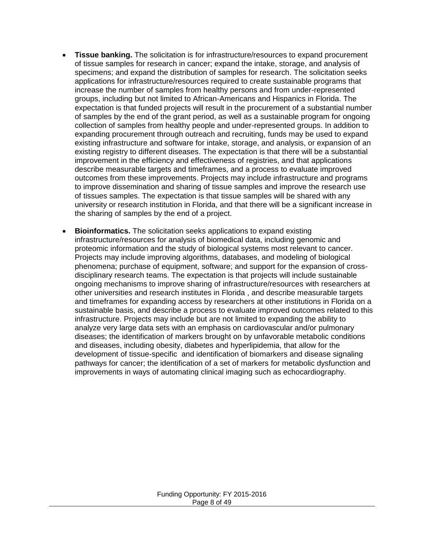- **Tissue banking.** The solicitation is for infrastructure/resources to expand procurement of tissue samples for research in cancer; expand the intake, storage, and analysis of specimens; and expand the distribution of samples for research. The solicitation seeks applications for infrastructure/resources required to create sustainable programs that increase the number of samples from healthy persons and from under-represented groups, including but not limited to African-Americans and Hispanics in Florida. The expectation is that funded projects will result in the procurement of a substantial number of samples by the end of the grant period, as well as a sustainable program for ongoing collection of samples from healthy people and under-represented groups. In addition to expanding procurement through outreach and recruiting, funds may be used to expand existing infrastructure and software for intake, storage, and analysis, or expansion of an existing registry to different diseases. The expectation is that there will be a substantial improvement in the efficiency and effectiveness of registries, and that applications describe measurable targets and timeframes, and a process to evaluate improved outcomes from these improvements. Projects may include infrastructure and programs to improve dissemination and sharing of tissue samples and improve the research use of tissues samples. The expectation is that tissue samples will be shared with any university or research institution in Florida, and that there will be a significant increase in the sharing of samples by the end of a project.
- **Bioinformatics.** The solicitation seeks applications to expand existing infrastructure/resources for analysis of biomedical data, including genomic and proteomic information and the study of biological systems most relevant to cancer. Projects may include improving algorithms, databases, and modeling of biological phenomena; purchase of equipment, software; and support for the expansion of crossdisciplinary research teams. The expectation is that projects will include sustainable ongoing mechanisms to improve sharing of infrastructure/resources with researchers at other universities and research institutes in Florida , and describe measurable targets and timeframes for expanding access by researchers at other institutions in Florida on a sustainable basis, and describe a process to evaluate improved outcomes related to this infrastructure. Projects may include but are not limited to expanding the ability to analyze very large data sets with an emphasis on cardiovascular and/or pulmonary diseases; the identification of markers brought on by unfavorable metabolic conditions and diseases, including obesity, diabetes and hyperlipidemia, that allow for the development of tissue-specific and identification of biomarkers and disease signaling pathways for cancer; the identification of a set of markers for metabolic dysfunction and improvements in ways of automating clinical imaging such as echocardiography.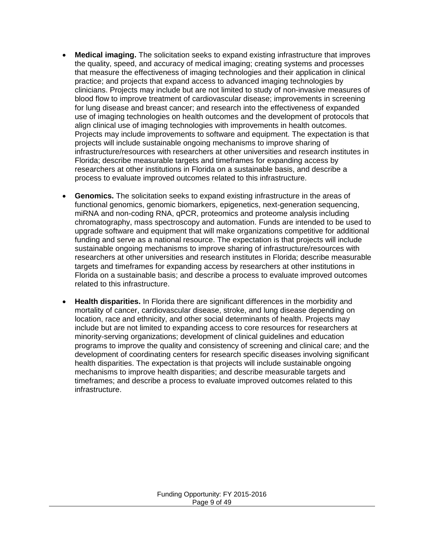- **Medical imaging.** The solicitation seeks to expand existing infrastructure that improves the quality, speed, and accuracy of medical imaging; creating systems and processes that measure the effectiveness of imaging technologies and their application in clinical practice; and projects that expand access to advanced imaging technologies by clinicians. Projects may include but are not limited to study of non-invasive measures of blood flow to improve treatment of cardiovascular disease; improvements in screening for lung disease and breast cancer; and research into the effectiveness of expanded use of imaging technologies on health outcomes and the development of protocols that align clinical use of imaging technologies with improvements in health outcomes. Projects may include improvements to software and equipment. The expectation is that projects will include sustainable ongoing mechanisms to improve sharing of infrastructure/resources with researchers at other universities and research institutes in Florida; describe measurable targets and timeframes for expanding access by researchers at other institutions in Florida on a sustainable basis, and describe a process to evaluate improved outcomes related to this infrastructure.
- **Genomics.** The solicitation seeks to expand existing infrastructure in the areas of functional genomics, genomic biomarkers, epigenetics, next-generation sequencing, miRNA and non-coding RNA, qPCR, proteomics and proteome analysis including chromatography, mass spectroscopy and automation. Funds are intended to be used to upgrade software and equipment that will make organizations competitive for additional funding and serve as a national resource. The expectation is that projects will include sustainable ongoing mechanisms to improve sharing of infrastructure/resources with researchers at other universities and research institutes in Florida; describe measurable targets and timeframes for expanding access by researchers at other institutions in Florida on a sustainable basis; and describe a process to evaluate improved outcomes related to this infrastructure.
- **Health disparities.** In Florida there are significant differences in the morbidity and mortality of cancer, cardiovascular disease, stroke, and lung disease depending on location, race and ethnicity, and other social determinants of health. Projects may include but are not limited to expanding access to core resources for researchers at minority-serving organizations; development of clinical guidelines and education programs to improve the quality and consistency of screening and clinical care; and the development of coordinating centers for research specific diseases involving significant health disparities. The expectation is that projects will include sustainable ongoing mechanisms to improve health disparities; and describe measurable targets and timeframes; and describe a process to evaluate improved outcomes related to this infrastructure.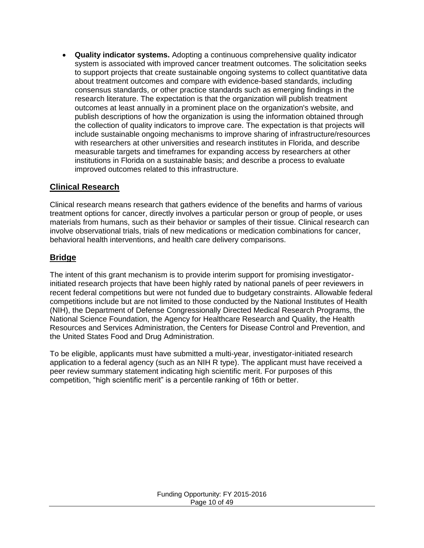**Quality indicator systems.** Adopting a continuous comprehensive quality indicator system is associated with improved cancer treatment outcomes. The solicitation seeks to support projects that create sustainable ongoing systems to collect quantitative data about treatment outcomes and compare with evidence-based standards, including consensus standards, or other practice standards such as emerging findings in the research literature. The expectation is that the organization will publish treatment outcomes at least annually in a prominent place on the organization's website, and publish descriptions of how the organization is using the information obtained through the collection of quality indicators to improve care. The expectation is that projects will include sustainable ongoing mechanisms to improve sharing of infrastructure/resources with researchers at other universities and research institutes in Florida, and describe measurable targets and timeframes for expanding access by researchers at other institutions in Florida on a sustainable basis; and describe a process to evaluate improved outcomes related to this infrastructure.

#### **Clinical Research**

Clinical research means research that gathers evidence of the benefits and harms of various treatment options for cancer, directly involves a particular person or group of people, or uses materials from humans, such as their behavior or samples of their tissue. Clinical research can involve observational trials, trials of new medications or medication combinations for cancer, behavioral health interventions, and health care delivery comparisons.

#### **Bridge**

The intent of this grant mechanism is to provide interim support for promising investigatorinitiated research projects that have been highly rated by national panels of peer reviewers in recent federal competitions but were not funded due to budgetary constraints. Allowable federal competitions include but are not limited to those conducted by the National Institutes of Health (NIH), the Department of Defense Congressionally Directed Medical Research Programs, the National Science Foundation, the Agency for Healthcare Research and Quality, the Health Resources and Services Administration, the Centers for Disease Control and Prevention, and the United States Food and Drug Administration.

To be eligible, applicants must have submitted a multi-year, investigator-initiated research application to a federal agency (such as an NIH R type). The applicant must have received a peer review summary statement indicating high scientific merit. For purposes of this competition, "high scientific merit" is a percentile ranking of 16th or better.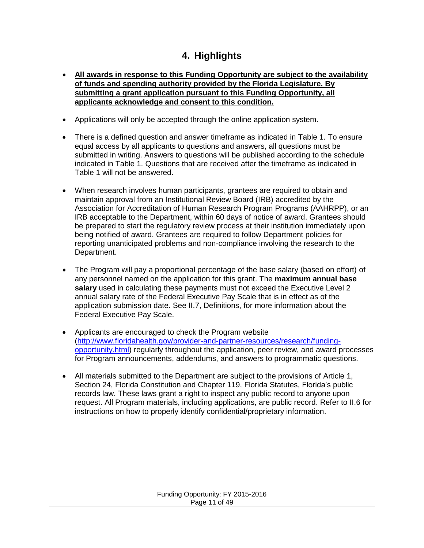# **4. Highlights**

- <span id="page-10-0"></span> **All awards in response to this Funding Opportunity are subject to the availability of funds and spending authority provided by the Florida Legislature. By submitting a grant application pursuant to this Funding Opportunity, all applicants acknowledge and consent to this condition.**
- Applications will only be accepted through the online application system.
- There is a defined question and answer timeframe as indicated in Table 1. To ensure equal access by all applicants to questions and answers, all questions must be submitted in writing. Answers to questions will be published according to the schedule indicated in Table 1. Questions that are received after the timeframe as indicated in Table 1 will not be answered.
- When research involves human participants, grantees are required to obtain and maintain approval from an Institutional Review Board (IRB) accredited by the Association for Accreditation of Human Research Program Programs (AAHRPP), or an IRB acceptable to the Department, within 60 days of notice of award. Grantees should be prepared to start the regulatory review process at their institution immediately upon being notified of award. Grantees are required to follow Department policies for reporting unanticipated problems and non-compliance involving the research to the Department.
- The Program will pay a proportional percentage of the base salary (based on effort) of any personnel named on the application for this grant. The **maximum annual base salary** used in calculating these payments must not exceed the Executive Level 2 annual salary rate of the Federal Executive Pay Scale that is in effect as of the application submission date. See [II.7](#page-22-0), Definitions, for more information about the Federal Executive Pay Scale.
- Applicants are encouraged to check the Program website [\(http://www.floridahealth.gov/provider-and-partner-resources/research/funding](http://www.floridahealth.gov/provider-and-partner-resources/research/funding-opportunity.html)[opportunity.html\)](http://www.floridahealth.gov/provider-and-partner-resources/research/funding-opportunity.html) regularly throughout the application, peer review, and award processes for Program announcements, addendums, and answers to programmatic questions.
- All materials submitted to the Department are subject to the provisions of Article 1, Section 24, Florida Constitution and Chapter 119, Florida Statutes, Florida's public records law. These laws grant a right to inspect any public record to anyone upon request. All Program materials, including applications, are public record. Refer to [II.6](#page-21-3) for instructions on how to properly identify confidential/proprietary information.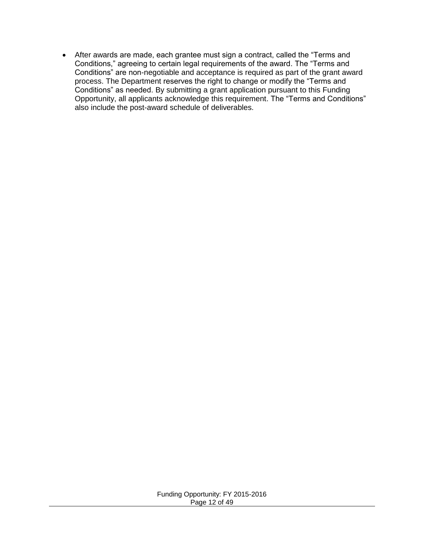After awards are made, each grantee must sign a contract, called the "Terms and Conditions," agreeing to certain legal requirements of the award. The "Terms and Conditions" are non-negotiable and acceptance is required as part of the grant award process. The Department reserves the right to change or modify the "Terms and Conditions" as needed. By submitting a grant application pursuant to this Funding Opportunity, all applicants acknowledge this requirement. The "Terms and Conditions" also include the post-award schedule of deliverables.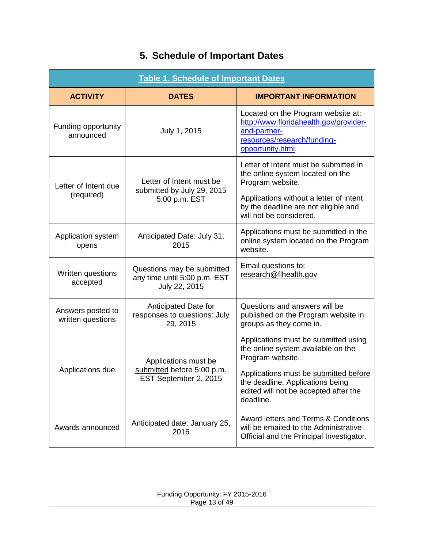# **5. Schedule of Important Dates**

<span id="page-12-1"></span><span id="page-12-0"></span>

| <b>Table 1. Schedule of Important Dates</b>                                                                  |                                                                             |                                                                                                                                                  |  |  |
|--------------------------------------------------------------------------------------------------------------|-----------------------------------------------------------------------------|--------------------------------------------------------------------------------------------------------------------------------------------------|--|--|
| <b>ACTIVITY</b>                                                                                              | <b>DATES</b>                                                                | <b>IMPORTANT INFORMATION</b>                                                                                                                     |  |  |
| Funding opportunity<br>announced                                                                             | July 1, 2015                                                                | Located on the Program website at:<br>http://www.floridahealth.gov/provider-<br>and-partner-<br>resources/research/funding-<br>opportunity.html. |  |  |
| Letter of Intent due                                                                                         | Letter of Intent must be<br>submitted by July 29, 2015                      | Letter of Intent must be submitted in<br>the online system located on the<br>Program website.                                                    |  |  |
| (required)                                                                                                   | 5:00 p.m. EST                                                               | Applications without a letter of intent<br>by the deadline are not eligible and<br>will not be considered.                                       |  |  |
| Anticipated Date: July 31,<br>Application system<br>2015<br>opens                                            |                                                                             | Applications must be submitted in the<br>online system located on the Program<br>website.                                                        |  |  |
| Questions may be submitted<br>Written questions<br>any time until 5:00 p.m. EST<br>accepted<br>July 22, 2015 |                                                                             | Email questions to:<br>research@flhealth.gov                                                                                                     |  |  |
| Anticipated Date for<br>Answers posted to<br>responses to questions: July<br>written questions<br>29, 2015   |                                                                             | Questions and answers will be<br>published on the Program website in<br>groups as they come in.                                                  |  |  |
|                                                                                                              | Applications must be<br>submitted before 5:00 p.m.<br>EST September 2, 2015 | Applications must be submitted using<br>the online system available on the<br>Program website.                                                   |  |  |
| Applications due                                                                                             |                                                                             | Applications must be submitted before<br>the deadline. Applications being<br>edited will not be accepted after the<br>deadline.                  |  |  |
| Anticipated date: January 25,<br>Awards announced<br>2016                                                    |                                                                             | Award letters and Terms & Conditions<br>will be emailed to the Administrative<br>Official and the Principal Investigator.                        |  |  |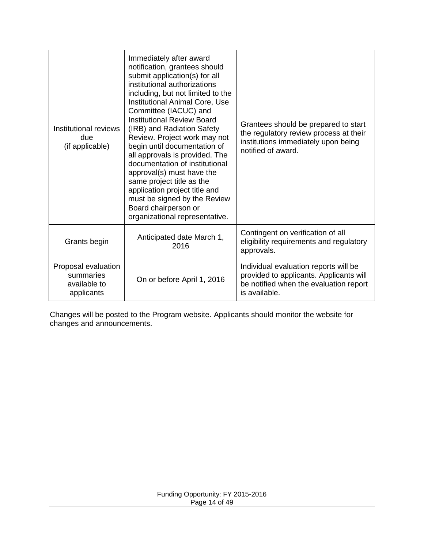| Immediately after award<br>notification, grantees should<br>submit application(s) for all<br>institutional authorizations<br>including, but not limited to the<br>Institutional Animal Core, Use<br>Committee (IACUC) and<br><b>Institutional Review Board</b><br>Institutional reviews<br>(IRB) and Radiation Safety<br>Review. Project work may not<br>due<br>(if applicable)<br>begin until documentation of<br>all approvals is provided. The<br>documentation of institutional<br>approval(s) must have the<br>same project title as the<br>application project title and<br>must be signed by the Review<br>Board chairperson or<br>organizational representative. |                                   | Grantees should be prepared to start<br>the regulatory review process at their<br>institutions immediately upon being<br>notified of award. |  |  |
|--------------------------------------------------------------------------------------------------------------------------------------------------------------------------------------------------------------------------------------------------------------------------------------------------------------------------------------------------------------------------------------------------------------------------------------------------------------------------------------------------------------------------------------------------------------------------------------------------------------------------------------------------------------------------|-----------------------------------|---------------------------------------------------------------------------------------------------------------------------------------------|--|--|
| Grants begin                                                                                                                                                                                                                                                                                                                                                                                                                                                                                                                                                                                                                                                             | Anticipated date March 1,<br>2016 | Contingent on verification of all<br>eligibility requirements and regulatory<br>approvals.                                                  |  |  |
| Proposal evaluation<br>summaries<br>available to<br>applicants                                                                                                                                                                                                                                                                                                                                                                                                                                                                                                                                                                                                           | On or before April 1, 2016        | Individual evaluation reports will be<br>provided to applicants. Applicants will<br>be notified when the evaluation report<br>is available. |  |  |

Changes will be posted to the Program website. Applicants should monitor the website for changes and announcements.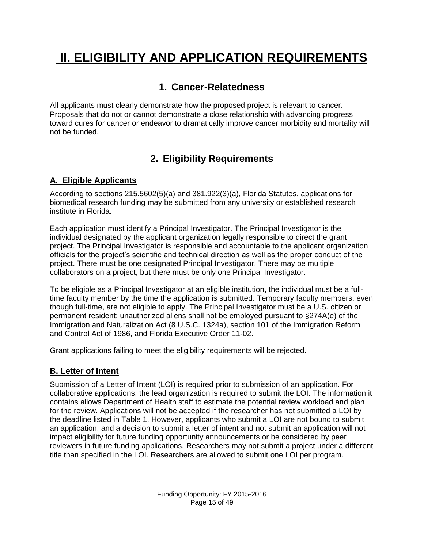# <span id="page-14-1"></span><span id="page-14-0"></span>**II. ELIGIBILITY AND APPLICATION REQUIREMENTS**

# **1. Cancer-Relatedness**

All applicants must clearly demonstrate how the proposed project is relevant to cancer. Proposals that do not or cannot demonstrate a close relationship with advancing progress toward cures for cancer or endeavor to dramatically improve cancer morbidity and mortality will not be funded.

# **2. Eligibility Requirements**

## <span id="page-14-3"></span><span id="page-14-2"></span>**A. Eligible Applicants**

According to sections 215.5602(5)(a) and 381.922(3)(a), Florida Statutes, applications for biomedical research funding may be submitted from any university or established research institute in Florida.

Each application must identify a Principal Investigator. The Principal Investigator is the individual designated by the applicant organization legally responsible to direct the grant project. The Principal Investigator is responsible and accountable to the applicant organization officials for the project's scientific and technical direction as well as the proper conduct of the project. There must be one designated Principal Investigator. There may be multiple collaborators on a project, but there must be only one Principal Investigator.

To be eligible as a Principal Investigator at an eligible institution, the individual must be a fulltime faculty member by the time the application is submitted. Temporary faculty members, even though full-time, are not eligible to apply. The Principal Investigator must be a U.S. citizen or permanent resident; unauthorized aliens shall not be employed pursuant to §274A(e) of the Immigration and Naturalization Act (8 U.S.C. 1324a), section 101 of the Immigration Reform and Control Act of 1986, and Florida Executive Order 11-02.

Grant applications failing to meet the eligibility requirements will be rejected.

### <span id="page-14-4"></span>**B. Letter of Intent**

Submission of a Letter of Intent (LOI) is required prior to submission of an application. For collaborative applications, the lead organization is required to submit the LOI. The information it contains allows Department of Health staff to estimate the potential review workload and plan for the review. Applications will not be accepted if the researcher has not submitted a LOI by the deadline listed in Table 1. However, applicants who submit a LOI are not bound to submit an application, and a decision to submit a letter of intent and not submit an application will not impact eligibility for future funding opportunity announcements or be considered by peer reviewers in future funding applications. Researchers may not submit a project under a different title than specified in the LOI. Researchers are allowed to submit one LOI per program.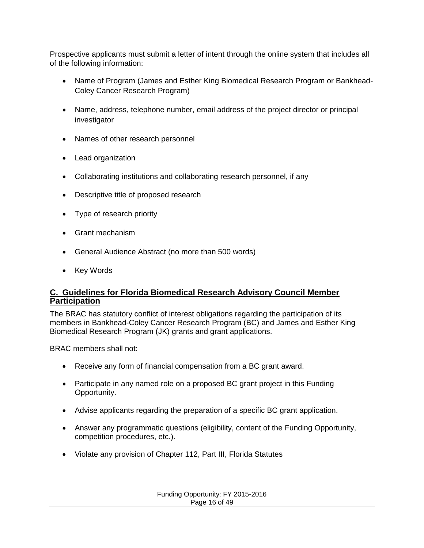Prospective applicants must submit a letter of intent through the online system that includes all of the following information:

- Name of Program (James and Esther King Biomedical Research Program or Bankhead-Coley Cancer Research Program)
- Name, address, telephone number, email address of the project director or principal investigator
- Names of other research personnel
- Lead organization
- Collaborating institutions and collaborating research personnel, if any
- Descriptive title of proposed research
- Type of research priority
- Grant mechanism
- General Audience Abstract (no more than 500 words)
- Key Words

#### **C. Guidelines for Florida Biomedical Research Advisory Council Member Participation**

The BRAC has statutory conflict of interest obligations regarding the participation of its members in Bankhead-Coley Cancer Research Program (BC) and James and Esther King Biomedical Research Program (JK) grants and grant applications.

BRAC members shall not:

- Receive any form of financial compensation from a BC grant award.
- Participate in any named role on a proposed BC grant project in this Funding Opportunity.
- Advise applicants regarding the preparation of a specific BC grant application.
- Answer any programmatic questions (eligibility, content of the Funding Opportunity, competition procedures, etc.).
- Violate any provision of Chapter 112, Part III, Florida Statutes

Funding Opportunity: FY 2015-2016 Page 16 of 49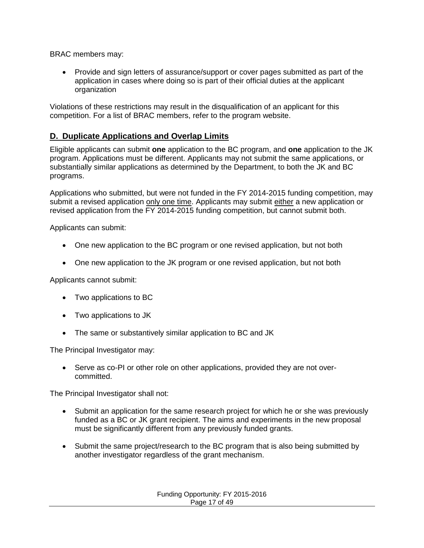BRAC members may:

 Provide and sign letters of assurance/support or cover pages submitted as part of the application in cases where doing so is part of their official duties at the applicant organization

Violations of these restrictions may result in the disqualification of an applicant for this competition. For a list of BRAC members, refer to the program website.

### <span id="page-16-0"></span>**D. Duplicate Applications and Overlap Limits**

Eligible applicants can submit **one** application to the BC program, and **one** application to the JK program. Applications must be different. Applicants may not submit the same applications, or substantially similar applications as determined by the Department, to both the JK and BC programs.

Applications who submitted, but were not funded in the FY 2014-2015 funding competition, may submit a revised application only one time. Applicants may submit either a new application or revised application from the FY 2014-2015 funding competition, but cannot submit both.

Applicants can submit:

- One new application to the BC program or one revised application, but not both
- One new application to the JK program or one revised application, but not both

Applicants cannot submit:

- Two applications to BC
- Two applications to JK
- The same or substantively similar application to BC and JK

The Principal Investigator may:

• Serve as co-PI or other role on other applications, provided they are not overcommitted.

The Principal Investigator shall not:

- Submit an application for the same research project for which he or she was previously funded as a BC or JK grant recipient. The aims and experiments in the new proposal must be significantly different from any previously funded grants.
- Submit the same project/research to the BC program that is also being submitted by another investigator regardless of the grant mechanism.

| Funding Opportunity: FY 2015-2016 |
|-----------------------------------|
| Page 17 of 49                     |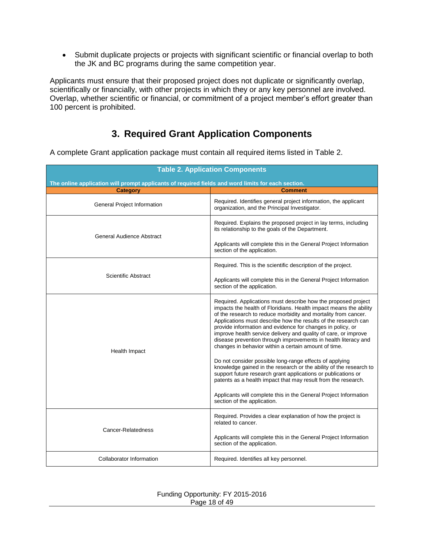Submit duplicate projects or projects with significant scientific or financial overlap to both the JK and BC programs during the same competition year.

Applicants must ensure that their proposed project does not duplicate or significantly overlap, scientifically or financially, with other projects in which they or any key personnel are involved. Overlap, whether scientific or financial, or commitment of a project member's effort greater than 100 percent is prohibited.

## **3. Required Grant Application Components**

<span id="page-17-0"></span>A complete Grant application package must contain all required items listed in [Table 2.](#page-17-1)

<span id="page-17-1"></span>

| <b>Table 2. Application Components</b>                                                             |                                                                                                                                                                                                                                                                                                                                                                                                                                                                                                                                                                                              |  |  |
|----------------------------------------------------------------------------------------------------|----------------------------------------------------------------------------------------------------------------------------------------------------------------------------------------------------------------------------------------------------------------------------------------------------------------------------------------------------------------------------------------------------------------------------------------------------------------------------------------------------------------------------------------------------------------------------------------------|--|--|
| The online application will prompt applicants of required fields and word limits for each section. |                                                                                                                                                                                                                                                                                                                                                                                                                                                                                                                                                                                              |  |  |
| <b>Category</b>                                                                                    | <b>Comment</b>                                                                                                                                                                                                                                                                                                                                                                                                                                                                                                                                                                               |  |  |
| General Project Information                                                                        | Required. Identifies general project information, the applicant<br>organization, and the Principal Investigator.                                                                                                                                                                                                                                                                                                                                                                                                                                                                             |  |  |
| <b>General Audience Abstract</b>                                                                   | Required. Explains the proposed project in lay terms, including<br>its relationship to the goals of the Department.                                                                                                                                                                                                                                                                                                                                                                                                                                                                          |  |  |
|                                                                                                    | Applicants will complete this in the General Project Information<br>section of the application.                                                                                                                                                                                                                                                                                                                                                                                                                                                                                              |  |  |
|                                                                                                    | Required. This is the scientific description of the project.                                                                                                                                                                                                                                                                                                                                                                                                                                                                                                                                 |  |  |
| Scientific Abstract                                                                                | Applicants will complete this in the General Project Information<br>section of the application.                                                                                                                                                                                                                                                                                                                                                                                                                                                                                              |  |  |
| Health Impact                                                                                      | Required. Applications must describe how the proposed project<br>impacts the health of Floridians. Health impact means the ability<br>of the research to reduce morbidity and mortality from cancer.<br>Applications must describe how the results of the research can<br>provide information and evidence for changes in policy, or<br>improve health service delivery and quality of care, or improve<br>disease prevention through improvements in health literacy and<br>changes in behavior within a certain amount of time.<br>Do not consider possible long-range effects of applying |  |  |
|                                                                                                    | knowledge gained in the research or the ability of the research to<br>support future research grant applications or publications or<br>patents as a health impact that may result from the research.<br>Applicants will complete this in the General Project Information<br>section of the application.                                                                                                                                                                                                                                                                                      |  |  |
| Cancer-Relatedness                                                                                 | Required. Provides a clear explanation of how the project is<br>related to cancer.                                                                                                                                                                                                                                                                                                                                                                                                                                                                                                           |  |  |
|                                                                                                    | Applicants will complete this in the General Project Information<br>section of the application.                                                                                                                                                                                                                                                                                                                                                                                                                                                                                              |  |  |
| Collaborator Information                                                                           | Required. Identifies all key personnel.                                                                                                                                                                                                                                                                                                                                                                                                                                                                                                                                                      |  |  |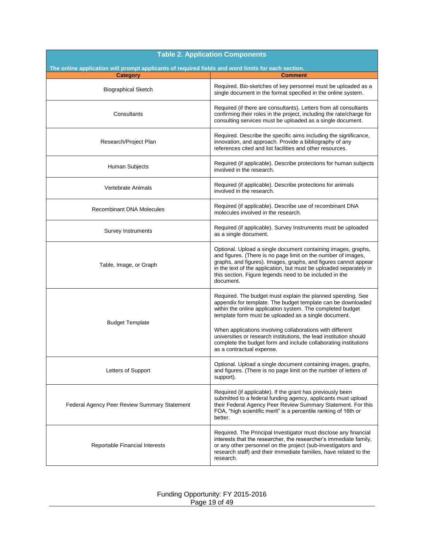| <b>Table 2. Application Components</b>                                                             |                                                                                                                                                                                                                                                                                                                                                                                                                                                                                      |  |  |  |
|----------------------------------------------------------------------------------------------------|--------------------------------------------------------------------------------------------------------------------------------------------------------------------------------------------------------------------------------------------------------------------------------------------------------------------------------------------------------------------------------------------------------------------------------------------------------------------------------------|--|--|--|
| The online application will prompt applicants of required fields and word limits for each section. |                                                                                                                                                                                                                                                                                                                                                                                                                                                                                      |  |  |  |
| <b>Category</b>                                                                                    | <b>Comment</b>                                                                                                                                                                                                                                                                                                                                                                                                                                                                       |  |  |  |
| <b>Biographical Sketch</b>                                                                         | Required. Bio-sketches of key personnel must be uploaded as a<br>single document in the format specified in the online system.                                                                                                                                                                                                                                                                                                                                                       |  |  |  |
| Consultants                                                                                        | Required (if there are consultants). Letters from all consultants<br>confirming their roles in the project, including the rate/charge for<br>consulting services must be uploaded as a single document.                                                                                                                                                                                                                                                                              |  |  |  |
| Research/Project Plan                                                                              | Required. Describe the specific aims including the significance,<br>innovation, and approach. Provide a bibliography of any<br>references cited and list facilities and other resources.                                                                                                                                                                                                                                                                                             |  |  |  |
| Human Subjects                                                                                     | Required (if applicable). Describe protections for human subjects<br>involved in the research.                                                                                                                                                                                                                                                                                                                                                                                       |  |  |  |
| <b>Vertebrate Animals</b>                                                                          | Required (if applicable). Describe protections for animals<br>involved in the research.                                                                                                                                                                                                                                                                                                                                                                                              |  |  |  |
| <b>Recombinant DNA Molecules</b>                                                                   | Required (if applicable). Describe use of recombinant DNA<br>molecules involved in the research.                                                                                                                                                                                                                                                                                                                                                                                     |  |  |  |
| Survey Instruments                                                                                 | Required (if applicable). Survey Instruments must be uploaded<br>as a single document.                                                                                                                                                                                                                                                                                                                                                                                               |  |  |  |
| Table, Image, or Graph                                                                             | Optional. Upload a single document containing images, graphs,<br>and figures. (There is no page limit on the number of images,<br>graphs, and figures). Images, graphs, and figures cannot appear<br>in the text of the application, but must be uploaded separately in<br>this section. Figure legends need to be included in the<br>document.                                                                                                                                      |  |  |  |
| <b>Budget Template</b>                                                                             | Required. The budget must explain the planned spending. See<br>appendix for template. The budget template can be downloaded<br>within the online application system. The completed budget<br>template form must be uploaded as a single document.<br>When applications involving collaborations with different<br>universities or research institutions, the lead institution should<br>complete the budget form and include collaborating institutions<br>as a contractual expense. |  |  |  |
| Letters of Support                                                                                 | Optional. Upload a single document containing images, graphs,<br>and figures. (There is no page limit on the number of letters of<br>support).                                                                                                                                                                                                                                                                                                                                       |  |  |  |
| Federal Agency Peer Review Summary Statement                                                       | Required (if applicable). If the grant has previously been<br>submitted to a federal funding agency, applicants must upload<br>their Federal Agency Peer Review Summary Statement. For this<br>FOA, "high scientific merit" is a percentile ranking of 16th or<br>better.                                                                                                                                                                                                            |  |  |  |
| Reportable Financial Interests                                                                     | Required. The Principal Investigator must disclose any financial<br>interests that the researcher, the researcher's immediate family,<br>or any other personnel on the project (sub-investigators and<br>research staff) and their immediate families, have related to the<br>research.                                                                                                                                                                                              |  |  |  |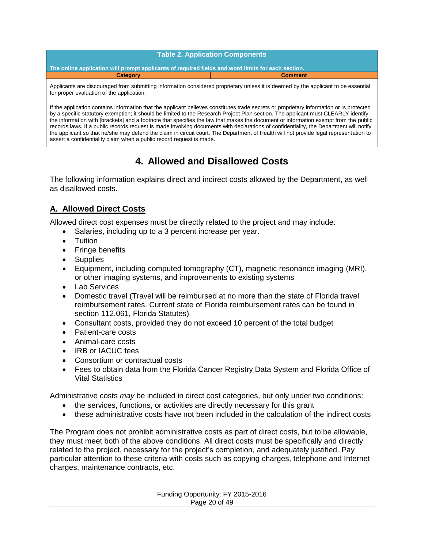**Table 2. Application Components**

**The online application will prompt applicants of required fields and word limits for each section. Category Category Comment** 

Applicants are discouraged from submitting information considered proprietary unless it is deemed by the applicant to be essential for proper evaluation of the application.

If the application contains information that the applicant believes constitutes trade secrets or proprietary information or is protected by a specific statutory exemption; it should be limited to the Research Project Plan section. The applicant must CLEARLY identify the information with [brackets] and a footnote that specifies the law that makes the document or information exempt from the public records laws. If a public records request is made involving documents with declarations of confidentiality, the Department will notify the applicant so that he/she may defend the claim in circuit court. The Department of Health will not provide legal representation to assert a confidentiality claim when a public record request is made.

## **4. Allowed and Disallowed Costs**

<span id="page-19-0"></span>The following information explains direct and indirect costs allowed by the Department, as well as disallowed costs.

## <span id="page-19-1"></span>**A. Allowed Direct Costs**

Allowed direct cost expenses must be directly related to the project and may include:

- Salaries, including up to a 3 percent increase per year.
- Tuition
- Fringe benefits
- Supplies
- Equipment, including computed tomography (CT), magnetic resonance imaging (MRI), or other imaging systems, and improvements to existing systems
- Lab Services
- Domestic travel (Travel will be reimbursed at no more than the state of Florida travel reimbursement rates. Current state of Florida reimbursement rates can be found in section 112.061, Florida Statutes)
- Consultant costs, provided they do not exceed 10 percent of the total budget
- Patient-care costs
- Animal-care costs
- IRB or IACUC fees
- Consortium or contractual costs
- Fees to obtain data from the Florida Cancer Registry Data System and Florida Office of Vital Statistics

Administrative costs *may* be included in direct cost categories, but only under two conditions:

- the services, functions, or activities are directly necessary for this grant
- these administrative costs have not been included in the calculation of the indirect costs

The Program does not prohibit administrative costs as part of direct costs, but to be allowable, they must meet both of the above conditions. All direct costs must be specifically and directly related to the project, necessary for the project's completion, and adequately justified. Pay particular attention to these criteria with costs such as copying charges, telephone and Internet charges, maintenance contracts, etc.

> Funding Opportunity: FY 2015-2016 Page 20 of 49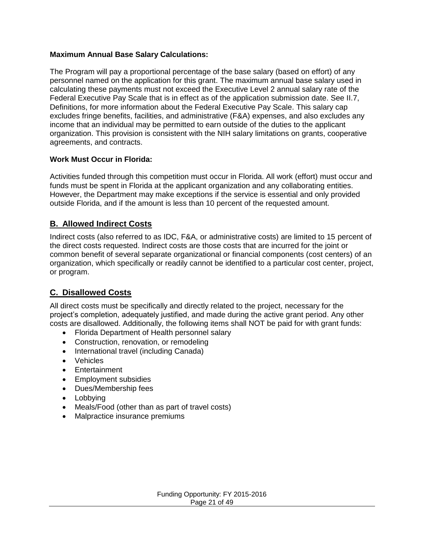#### **Maximum Annual Base Salary Calculations:**

The Program will pay a proportional percentage of the base salary (based on effort) of any personnel named on the application for this grant. The maximum annual base salary used in calculating these payments must not exceed the Executive Level 2 annual salary rate of the Federal Executive Pay Scale that is in effect as of the application submission date. See [II.7](#page-22-0), Definitions, for more information about the Federal Executive Pay Scale. This salary cap excludes fringe benefits, facilities, and administrative (F&A) expenses, and also excludes any income that an individual may be permitted to earn outside of the duties to the applicant organization. This provision is consistent with the NIH salary limitations on grants, cooperative agreements, and contracts.

#### **Work Must Occur in Florida:**

Activities funded through this competition must occur in Florida. All work (effort) must occur and funds must be spent in Florida at the applicant organization and any collaborating entities. However, the Department may make exceptions if the service is essential and only provided outside Florida, and if the amount is less than 10 percent of the requested amount.

#### <span id="page-20-0"></span>**B. Allowed Indirect Costs**

Indirect costs (also referred to as IDC, F&A, or administrative costs) are limited to 15 percent of the direct costs requested. Indirect costs are those costs that are incurred for the joint or common benefit of several separate organizational or financial components (cost centers) of an organization, which specifically or readily cannot be identified to a particular cost center, project, or program.

### <span id="page-20-1"></span>**C. Disallowed Costs**

All direct costs must be specifically and directly related to the project, necessary for the project's completion, adequately justified, and made during the active grant period. Any other costs are disallowed. Additionally, the following items shall NOT be paid for with grant funds:

- Florida Department of Health personnel salary
- Construction, renovation, or remodeling
- International travel (including Canada)
- Vehicles
- Entertainment
- Employment subsidies
- Dues/Membership fees
- Lobbying
- Meals/Food (other than as part of travel costs)
- Malpractice insurance premiums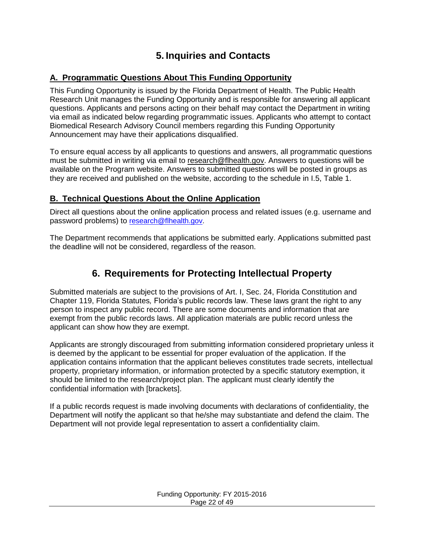# <span id="page-21-0"></span>**5. Inquiries and Contacts**

## <span id="page-21-1"></span>**A. Programmatic Questions About This Funding Opportunity**

This Funding Opportunity is issued by the Florida Department of Health. The Public Health Research Unit manages the Funding Opportunity and is responsible for answering all applicant questions. Applicants and persons acting on their behalf may contact the Department in writing via email as indicated below regarding programmatic issues. Applicants who attempt to contact Biomedical Research Advisory Council members regarding this Funding Opportunity Announcement may have their applications disqualified.

To ensure equal access by all applicants to questions and answers, all programmatic questions must be submitted in writing via email to [research@flhealth.gov.](mailto:research@flhealth.gov) Answers to questions will be available on the Program website. Answers to submitted questions will be posted in groups as they are received and published on the website, according to the schedule in [I.5, Table 1.](#page-12-1)

## <span id="page-21-2"></span>**B. Technical Questions About the Online Application**

Direct all questions about the online application process and related issues (e.g. username and password problems) to [research@flhealth.gov.](mailto:research@flhealth.gov)

<span id="page-21-3"></span>The Department recommends that applications be submitted early. Applications submitted past the deadline will not be considered, regardless of the reason.

# **6. Requirements for Protecting Intellectual Property**

Submitted materials are subject to the provisions of Art. I, Sec. 24, Florida Constitution and Chapter 119, Florida Statutes*,* Florida's public records law. These laws grant the right to any person to inspect any public record. There are some documents and information that are exempt from the public records laws. All application materials are public record unless the applicant can show how they are exempt.

Applicants are strongly discouraged from submitting information considered proprietary unless it is deemed by the applicant to be essential for proper evaluation of the application. If the application contains information that the applicant believes constitutes trade secrets, intellectual property, proprietary information, or information protected by a specific statutory exemption, it should be limited to the research/project plan. The applicant must clearly identify the confidential information with [brackets].

If a public records request is made involving documents with declarations of confidentiality, the Department will notify the applicant so that he/she may substantiate and defend the claim. The Department will not provide legal representation to assert a confidentiality claim.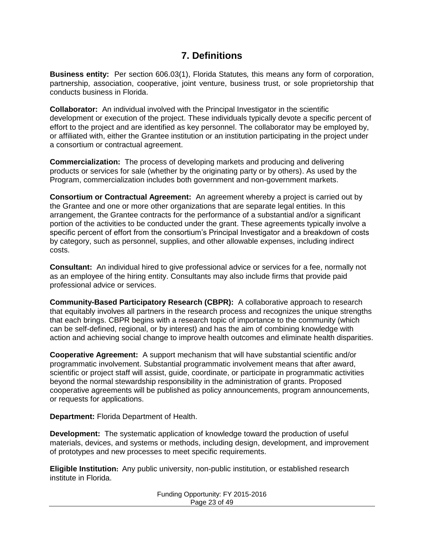## **7. Definitions**

<span id="page-22-0"></span>**Business entity:** Per section 606.03(1), Florida Statutes*,* this means any form of corporation, partnership, association, cooperative, joint venture, business trust, or sole proprietorship that conducts business in Florida.

**Collaborator:** An individual involved with the Principal Investigator in the scientific development or execution of the project. These individuals typically devote a specific percent of effort to the project and are identified as key personnel. The collaborator may be employed by, or affiliated with, either the Grantee institution or an institution participating in the project under a consortium or contractual agreement.

**Commercialization:** The process of developing markets and producing and delivering products or services for sale (whether by the originating party or by others). As used by the Program, commercialization includes both government and non-government markets.

**Consortium or Contractual Agreement:** An agreement whereby a project is carried out by the Grantee and one or more other organizations that are separate legal entities. In this arrangement, the Grantee contracts for the performance of a substantial and/or a significant portion of the activities to be conducted under the grant. These agreements typically involve a specific percent of effort from the consortium's Principal Investigator and a breakdown of costs by category, such as personnel, supplies, and other allowable expenses, including indirect costs.

**Consultant:** An individual hired to give professional advice or services for a fee, normally not as an employee of the hiring entity. Consultants may also include firms that provide paid professional advice or services.

**Community-Based Participatory Research (CBPR):** A collaborative approach to research that equitably involves all partners in the research process and recognizes the unique strengths that each brings. CBPR begins with a research topic of importance to the community (which can be self-defined, regional, or by interest) and has the aim of combining knowledge with action and achieving social change to improve health outcomes and eliminate health disparities.

**Cooperative Agreement:** A support mechanism that will have substantial scientific and/or programmatic involvement. Substantial programmatic involvement means that after award, scientific or project staff will assist, guide, coordinate, or participate in programmatic activities beyond the normal stewardship responsibility in the administration of grants. Proposed cooperative agreements will be published as policy announcements, program announcements, or requests for applications.

**Department:** Florida Department of Health.

**Development:** The systematic application of knowledge toward the production of useful materials, devices, and systems or methods, including design, development, and improvement of prototypes and new processes to meet specific requirements.

**Eligible Institution:** Any public university, non-public institution, or established research institute in Florida.

> Funding Opportunity: FY 2015-2016 Page 23 of 49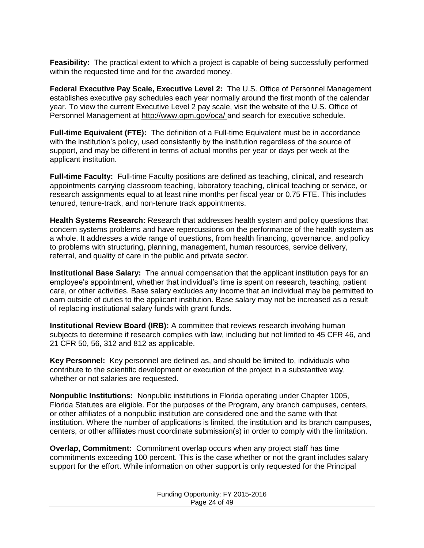**Feasibility:** The practical extent to which a project is capable of being successfully performed within the requested time and for the awarded money.

**Federal Executive Pay Scale, Executive Level 2:** The U.S. Office of Personnel Management establishes executive pay schedules each year normally around the first month of the calendar year. To view the current Executive Level 2 pay scale, visit the website of the U.S. Office of Personnel Management at [http://www.opm.gov/oca/ a](http://www.opm.gov/oca/)nd search for executive schedule.

**Full-time Equivalent (FTE):** The definition of a Full-time Equivalent must be in accordance with the institution's policy, used consistently by the institution regardless of the source of support, and may be different in terms of actual months per year or days per week at the applicant institution.

**Full-time Faculty:**Full-time Faculty positions are defined as teaching, clinical, and research appointments carrying classroom teaching, laboratory teaching, clinical teaching or service, or research assignments equal to at least nine months per fiscal year or 0.75 FTE. This includes tenured, tenure-track, and non-tenure track appointments.

**Health Systems Research:** Research that addresses health system and policy questions that concern systems problems and have repercussions on the performance of the health system as a whole. It addresses a wide range of questions, from health financing, governance, and policy to problems with structuring, planning, management, human resources, service delivery, referral, and quality of care in the public and private sector.

**Institutional Base Salary:** The annual compensation that the applicant institution pays for an employee's appointment, whether that individual's time is spent on research, teaching, patient care, or other activities. Base salary excludes any income that an individual may be permitted to earn outside of duties to the applicant institution. Base salary may not be increased as a result of replacing institutional salary funds with grant funds.

**Institutional Review Board (IRB):** A committee that reviews research involving human subjects to determine if research complies with law, including but not limited to 45 CFR 46, and 21 CFR 50, 56, 312 and 812 as applicable.

**Key Personnel:** Key personnel are defined as, and should be limited to, individuals who contribute to the scientific development or execution of the project in a substantive way, whether or not salaries are requested.

**Nonpublic Institutions:** Nonpublic institutions in Florida operating under Chapter 1005, Florida Statutes are eligible. For the purposes of the Program, any branch campuses, centers, or other affiliates of a nonpublic institution are considered one and the same with that institution. Where the number of applications is limited, the institution and its branch campuses, centers, or other affiliates must coordinate submission(s) in order to comply with the limitation.

**Overlap, Commitment:** Commitment overlap occurs when any project staff has time commitments exceeding 100 percent. This is the case whether or not the grant includes salary support for the effort. While information on other support is only requested for the Principal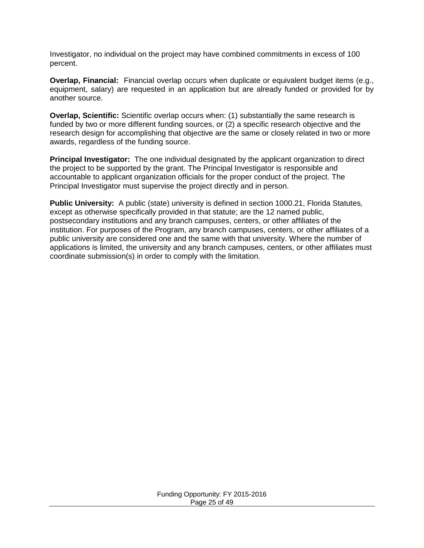Investigator, no individual on the project may have combined commitments in excess of 100 percent.

**Overlap, Financial:** Financial overlap occurs when duplicate or equivalent budget items (e.g., equipment, salary) are requested in an application but are already funded or provided for by another source.

**Overlap, Scientific:** Scientific overlap occurs when: (1) substantially the same research is funded by two or more different funding sources, or (2) a specific research objective and the research design for accomplishing that objective are the same or closely related in two or more awards, regardless of the funding source.

**Principal Investigator:** The one individual designated by the applicant organization to direct the project to be supported by the grant. The Principal Investigator is responsible and accountable to applicant organization officials for the proper conduct of the project. The Principal Investigator must supervise the project directly and in person.

**Public University:** A public (state) university is defined in section 1000.21, Florida Statutes*,* except as otherwise specifically provided in that statute; are the 12 named public, postsecondary institutions and any branch campuses, centers, or other affiliates of the institution. For purposes of the Program, any branch campuses, centers, or other affiliates of a public university are considered one and the same with that university. Where the number of applications is limited, the university and any branch campuses, centers, or other affiliates must coordinate submission(s) in order to comply with the limitation.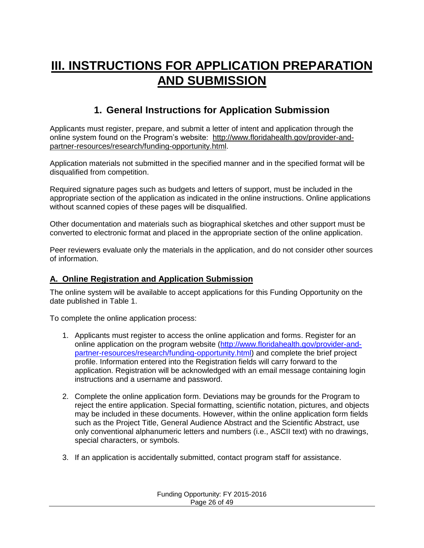# <span id="page-25-0"></span>**III. INSTRUCTIONS FOR APPLICATION PREPARATION AND SUBMISSION**

# **1. General Instructions for Application Submission**

<span id="page-25-1"></span>Applicants must register, prepare, and submit a letter of intent and application through the online system found on the Program's website: [http://www.floridahealth.gov/provider-and](http://www.floridahealth.gov/provider-and-partner-resources/research/funding-opportunity.html)[partner-resources/research/funding-opportunity.html.](http://www.floridahealth.gov/provider-and-partner-resources/research/funding-opportunity.html)

Application materials not submitted in the specified manner and in the specified format will be disqualified from competition.

Required signature pages such as budgets and letters of support, must be included in the appropriate section of the application as indicated in the online instructions. Online applications without scanned copies of these pages will be disqualified.

Other documentation and materials such as biographical sketches and other support must be converted to electronic format and placed in the appropriate section of the online application.

Peer reviewers evaluate only the materials in the application, and do not consider other sources of information.

### <span id="page-25-2"></span>**A. Online Registration and Application Submission**

The online system will be available to accept applications for this Funding Opportunity on the date published in Table 1.

To complete the online application process:

- 1. Applicants must register to access the online application and forms. Register for an online application on the program website [\(http://www.floridahealth.gov/provider-and](http://www.floridahealth.gov/provider-and-partner-resources/research/funding-opportunity.html)[partner-resources/research/funding-opportunity.html\)](http://www.floridahealth.gov/provider-and-partner-resources/research/funding-opportunity.html) and complete the brief project profile. Information entered into the Registration fields will carry forward to the application. Registration will be acknowledged with an email message containing login instructions and a username and password.
- 2. Complete the online application form. Deviations may be grounds for the Program to reject the entire application. Special formatting, scientific notation, pictures, and objects may be included in these documents. However, within the online application form fields such as the Project Title, General Audience Abstract and the Scientific Abstract, use only conventional alphanumeric letters and numbers (i.e., ASCII text) with no drawings, special characters, or symbols.
- 3. If an application is accidentally submitted, contact program staff for assistance.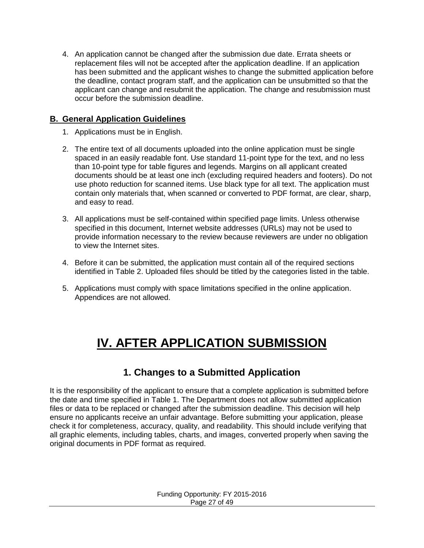4. An application cannot be changed after the submission due date. Errata sheets or replacement files will not be accepted after the application deadline. If an application has been submitted and the applicant wishes to change the submitted application before the deadline, contact program staff, and the application can be unsubmitted so that the applicant can change and resubmit the application. The change and resubmission must occur before the submission deadline.

## <span id="page-26-0"></span>**B. General Application Guidelines**

- 1. Applications must be in English.
- 2. The entire text of all documents uploaded into the online application must be single spaced in an easily readable font. Use standard 11-point type for the text, and no less than 10-point type for table figures and legends. Margins on all applicant created documents should be at least one inch (excluding required headers and footers). Do not use photo reduction for scanned items. Use black type for all text. The application must contain only materials that, when scanned or converted to PDF format, are clear, sharp, and easy to read.
- 3. All applications must be self-contained within specified page limits. Unless otherwise specified in this document, Internet website addresses (URLs) may not be used to provide information necessary to the review because reviewers are under no obligation to view the Internet sites.
- 4. Before it can be submitted, the application must contain all of the required sections identified in [Table](#page-12-1) 2. Uploaded files should be titled by the categories listed in the table.
- <span id="page-26-1"></span>5. Applications must comply with space limitations specified in the online application. Appendices are not allowed.

# **IV. AFTER APPLICATION SUBMISSION**

## **1. Changes to a Submitted Application**

<span id="page-26-2"></span>It is the responsibility of the applicant to ensure that a complete application is submitted before the date and time specified in [Table 1.](#page-12-0) The Department does not allow submitted application files or data to be replaced or changed after the submission deadline. This decision will help ensure no applicants receive an unfair advantage. Before submitting your application, please check it for completeness, accuracy, quality, and readability. This should include verifying that all graphic elements, including tables, charts, and images, converted properly when saving the original documents in PDF format as required.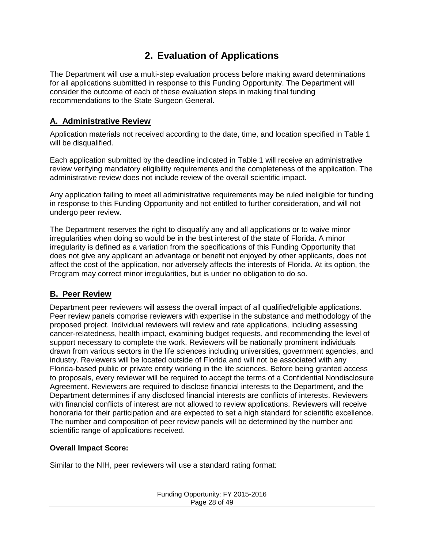# **2. Evaluation of Applications**

<span id="page-27-0"></span>The Department will use a multi-step evaluation process before making award determinations for all applications submitted in response to this Funding Opportunity. The Department will consider the outcome of each of these evaluation steps in making final funding recommendations to the State Surgeon General.

## <span id="page-27-1"></span>**A. Administrative Review**

Application materials not received according to the date, time, and location specified in [Table 1](#page-12-0) will be disqualified.

Each application submitted by the deadline indicated in [Table 1](#page-12-0) will receive an administrative review verifying mandatory eligibility requirements and the completeness of the application. The administrative review does not include review of the overall scientific impact.

Any application failing to meet all administrative requirements may be ruled ineligible for funding in response to this Funding Opportunity and not entitled to further consideration, and will not undergo peer review.

The Department reserves the right to disqualify any and all applications or to waive minor irregularities when doing so would be in the best interest of the state of Florida. A minor irregularity is defined as a variation from the specifications of this Funding Opportunity that does not give any applicant an advantage or benefit not enjoyed by other applicants, does not affect the cost of the application, nor adversely affects the interests of Florida. At its option, the Program may correct minor irregularities, but is under no obligation to do so.

## <span id="page-27-2"></span>**B. Peer Review**

Department peer reviewers will assess the overall impact of all qualified/eligible applications. Peer review panels comprise reviewers with expertise in the substance and methodology of the proposed project. Individual reviewers will review and rate applications, including assessing cancer-relatedness, health impact, examining budget requests, and recommending the level of support necessary to complete the work. Reviewers will be nationally prominent individuals drawn from various sectors in the life sciences including universities, government agencies, and industry. Reviewers will be located outside of Florida and will not be associated with any Florida-based public or private entity working in the life sciences. Before being granted access to proposals, every reviewer will be required to accept the terms of a Confidential Nondisclosure Agreement. Reviewers are required to disclose financial interests to the Department, and the Department determines if any disclosed financial interests are conflicts of interests. Reviewers with financial conflicts of interest are not allowed to review applications. Reviewers will receive honoraria for their participation and are expected to set a high standard for scientific excellence. The number and composition of peer review panels will be determined by the number and scientific range of applications received.

### **Overall Impact Score:**

Similar to the NIH, peer reviewers will use a standard rating format: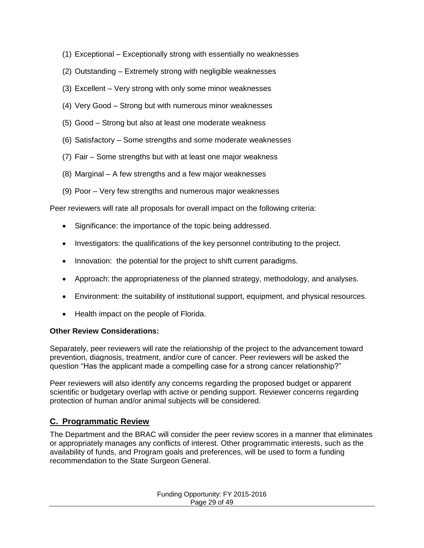- (1) Exceptional Exceptionally strong with essentially no weaknesses
- (2) Outstanding Extremely strong with negligible weaknesses
- (3) Excellent Very strong with only some minor weaknesses
- (4) Very Good Strong but with numerous minor weaknesses
- (5) Good Strong but also at least one moderate weakness
- (6) Satisfactory Some strengths and some moderate weaknesses
- (7) Fair Some strengths but with at least one major weakness
- (8) Marginal A few strengths and a few major weaknesses
- (9) Poor Very few strengths and numerous major weaknesses

Peer reviewers will rate all proposals for overall impact on the following criteria:

- Significance: the importance of the topic being addressed.
- Investigators: the qualifications of the key personnel contributing to the project.
- Innovation: the potential for the project to shift current paradigms.
- Approach: the appropriateness of the planned strategy, methodology, and analyses.
- Environment: the suitability of institutional support, equipment, and physical resources.
- Health impact on the people of Florida.

#### **Other Review Considerations:**

Separately, peer reviewers will rate the relationship of the project to the advancement toward prevention, diagnosis, treatment, and/or cure of cancer. Peer reviewers will be asked the question "Has the applicant made a compelling case for a strong cancer relationship?"

Peer reviewers will also identify any concerns regarding the proposed budget or apparent scientific or budgetary overlap with active or pending support. Reviewer concerns regarding protection of human and/or animal subjects will be considered.

### <span id="page-28-0"></span>**C. Programmatic Review**

The Department and the BRAC will consider the peer review scores in a manner that eliminates or appropriately manages any conflicts of interest. Other programmatic interests, such as the availability of funds, and Program goals and preferences, will be used to form a funding recommendation to the State Surgeon General.

> Funding Opportunity: FY 2015-2016 Page 29 of 49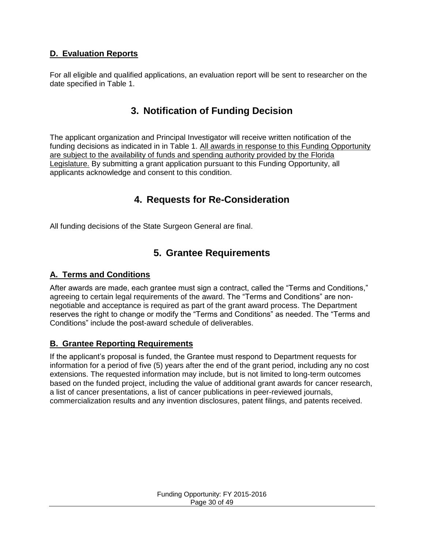## <span id="page-29-0"></span>**D. Evaluation Reports**

<span id="page-29-1"></span>For all eligible and qualified applications, an evaluation report will be sent to researcher on the date specified in Table 1.

## **3. Notification of Funding Decision**

The applicant organization and Principal Investigator will receive written notification of the funding decisions as indicated in in Table 1. All awards in response to this Funding Opportunity are subject to the availability of funds and spending authority provided by the Florida Legislature. By submitting a grant application pursuant to this Funding Opportunity, all applicants acknowledge and consent to this condition.

## **4. Requests for Re-Consideration**

<span id="page-29-3"></span><span id="page-29-2"></span>All funding decisions of the State Surgeon General are final.

## **5. Grantee Requirements**

#### <span id="page-29-4"></span>**A. Terms and Conditions**

After awards are made, each grantee must sign a contract, called the "Terms and Conditions," agreeing to certain legal requirements of the award. The "Terms and Conditions" are nonnegotiable and acceptance is required as part of the grant award process. The Department reserves the right to change or modify the "Terms and Conditions" as needed. The "Terms and Conditions" include the post-award schedule of deliverables.

#### <span id="page-29-5"></span>**B. Grantee Reporting Requirements**

If the applicant's proposal is funded, the Grantee must respond to Department requests for information for a period of five (5) years after the end of the grant period, including any no cost extensions. The requested information may include, but is not limited to long-term outcomes based on the funded project, including the value of additional grant awards for cancer research, a list of cancer presentations, a list of cancer publications in peer-reviewed journals, commercialization results and any invention disclosures, patent filings, and patents received.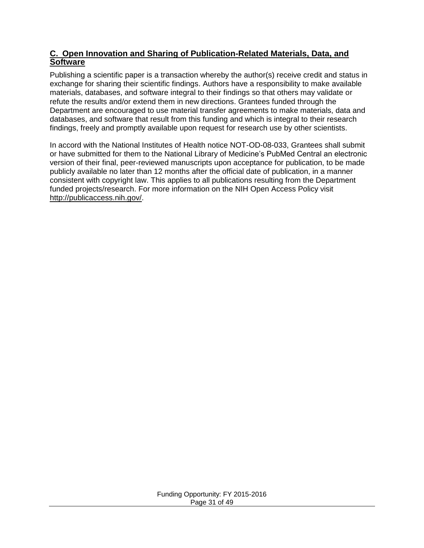#### <span id="page-30-0"></span>**C. Open Innovation and Sharing of Publication-Related Materials, Data, and Software**

Publishing a scientific paper is a transaction whereby the author(s) receive credit and status in exchange for sharing their scientific findings. Authors have a responsibility to make available materials, databases, and software integral to their findings so that others may validate or refute the results and/or extend them in new directions. Grantees funded through the Department are encouraged to use material transfer agreements to make materials, data and databases, and software that result from this funding and which is integral to their research findings, freely and promptly available upon request for research use by other scientists.

In accord with the National Institutes of Health notice NOT-OD-08-033, Grantees shall submit or have submitted for them to the National Library of Medicine's PubMed Central an electronic version of their final, peer-reviewed manuscripts upon acceptance for publication, to be made publicly available no later than 12 months after the official date of publication, in a manner consistent with copyright law. This applies to all publications resulting from the Department funded projects/research. For more information on the NIH Open Access Policy visit [http://publicaccess.nih.gov/.](http://publicaccess.nih.gov/)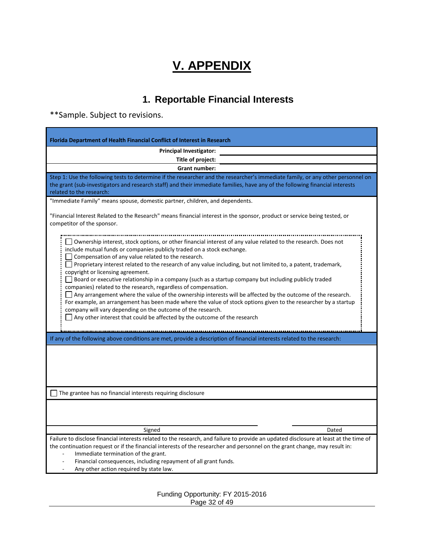# **V. APPENDIX**

# **1. Reportable Financial Interests**

<span id="page-31-1"></span><span id="page-31-0"></span>\*\*Sample. Subject to revisions.

| <b>Florida Department of Health Financial Conflict of Interest in Research</b>                                                                                                                                                                                                                                                                                                                                                                                                                                                                                                                                                                                                                                                                                                                                                                                                                                                                                                    |  |  |
|-----------------------------------------------------------------------------------------------------------------------------------------------------------------------------------------------------------------------------------------------------------------------------------------------------------------------------------------------------------------------------------------------------------------------------------------------------------------------------------------------------------------------------------------------------------------------------------------------------------------------------------------------------------------------------------------------------------------------------------------------------------------------------------------------------------------------------------------------------------------------------------------------------------------------------------------------------------------------------------|--|--|
| <b>Principal Investigator:</b>                                                                                                                                                                                                                                                                                                                                                                                                                                                                                                                                                                                                                                                                                                                                                                                                                                                                                                                                                    |  |  |
| Title of project:                                                                                                                                                                                                                                                                                                                                                                                                                                                                                                                                                                                                                                                                                                                                                                                                                                                                                                                                                                 |  |  |
| <b>Grant number:</b>                                                                                                                                                                                                                                                                                                                                                                                                                                                                                                                                                                                                                                                                                                                                                                                                                                                                                                                                                              |  |  |
| Step 1: Use the following tests to determine if the researcher and the researcher's immediate family, or any other personnel on<br>the grant (sub-investigators and research staff) and their immediate families, have any of the following financial interests<br>related to the research:                                                                                                                                                                                                                                                                                                                                                                                                                                                                                                                                                                                                                                                                                       |  |  |
| "Immediate Family" means spouse, domestic partner, children, and dependents.                                                                                                                                                                                                                                                                                                                                                                                                                                                                                                                                                                                                                                                                                                                                                                                                                                                                                                      |  |  |
| "Financial Interest Related to the Research" means financial interest in the sponsor, product or service being tested, or<br>competitor of the sponsor.                                                                                                                                                                                                                                                                                                                                                                                                                                                                                                                                                                                                                                                                                                                                                                                                                           |  |  |
| Ownership interest, stock options, or other financial interest of any value related to the research. Does not<br>include mutual funds or companies publicly traded on a stock exchange.<br>Compensation of any value related to the research.<br>Proprietary interest related to the research of any value including, but not limited to, a patent, trademark,<br>copyright or licensing agreement.<br>$\Box$ Board or executive relationship in a company (such as a startup company but including publicly traded<br>companies) related to the research, regardless of compensation.<br>$\Box$ Any arrangement where the value of the ownership interests will be affected by the outcome of the research.<br>For example, an arrangement has been made where the value of stock options given to the researcher by a startup<br>company will vary depending on the outcome of the research.<br>$\Box$ Any other interest that could be affected by the outcome of the research |  |  |
| If any of the following above conditions are met, provide a description of financial interests related to the research:                                                                                                                                                                                                                                                                                                                                                                                                                                                                                                                                                                                                                                                                                                                                                                                                                                                           |  |  |
|                                                                                                                                                                                                                                                                                                                                                                                                                                                                                                                                                                                                                                                                                                                                                                                                                                                                                                                                                                                   |  |  |
| The grantee has no financial interests requiring disclosure                                                                                                                                                                                                                                                                                                                                                                                                                                                                                                                                                                                                                                                                                                                                                                                                                                                                                                                       |  |  |
|                                                                                                                                                                                                                                                                                                                                                                                                                                                                                                                                                                                                                                                                                                                                                                                                                                                                                                                                                                                   |  |  |
| Signed<br>Dated                                                                                                                                                                                                                                                                                                                                                                                                                                                                                                                                                                                                                                                                                                                                                                                                                                                                                                                                                                   |  |  |
| Failure to disclose financial interests related to the research, and failure to provide an updated disclosure at least at the time of<br>the continuation request or if the financial interests of the researcher and personnel on the grant change, may result in:<br>Immediate termination of the grant.<br>Financial consequences, including repayment of all grant funds.<br>Any other action required by state law.                                                                                                                                                                                                                                                                                                                                                                                                                                                                                                                                                          |  |  |

Funding Opportunity: FY 2015-2016 Page 32 of 49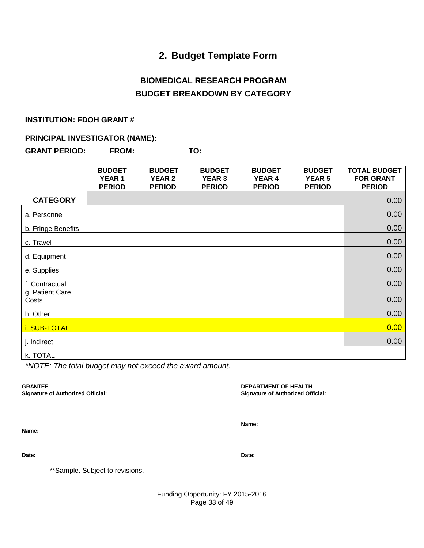## **2. Budget Template Form**

## **BIOMEDICAL RESEARCH PROGRAM BUDGET BREAKDOWN BY CATEGORY**

#### <span id="page-32-0"></span>**INSTITUTION: FDOH GRANT #**

#### **PRINCIPAL INVESTIGATOR (NAME):**

**GRANT PERIOD: FROM: TO:** 

|                          | <b>BUDGET</b><br><b>YEAR1</b><br><b>PERIOD</b> | <b>BUDGET</b><br><b>YEAR 2</b><br><b>PERIOD</b> | <b>BUDGET</b><br><b>YEAR 3</b><br><b>PERIOD</b> | <b>BUDGET</b><br><b>YEAR 4</b><br><b>PERIOD</b> | <b>BUDGET</b><br><b>YEAR 5</b><br><b>PERIOD</b> | <b>TOTAL BUDGET</b><br><b>FOR GRANT</b><br><b>PERIOD</b> |
|--------------------------|------------------------------------------------|-------------------------------------------------|-------------------------------------------------|-------------------------------------------------|-------------------------------------------------|----------------------------------------------------------|
| <b>CATEGORY</b>          |                                                |                                                 |                                                 |                                                 |                                                 | 0.00                                                     |
| a. Personnel             |                                                |                                                 |                                                 |                                                 |                                                 | 0.00                                                     |
| b. Fringe Benefits       |                                                |                                                 |                                                 |                                                 |                                                 | 0.00                                                     |
| c. Travel                |                                                |                                                 |                                                 |                                                 |                                                 | 0.00                                                     |
| d. Equipment             |                                                |                                                 |                                                 |                                                 |                                                 | 0.00                                                     |
| e. Supplies              |                                                |                                                 |                                                 |                                                 |                                                 | 0.00                                                     |
| f. Contractual           |                                                |                                                 |                                                 |                                                 |                                                 | 0.00                                                     |
| g. Patient Care<br>Costs |                                                |                                                 |                                                 |                                                 |                                                 | 0.00                                                     |
| h. Other                 |                                                |                                                 |                                                 |                                                 |                                                 | 0.00                                                     |
| i. SUB-TOTAL             |                                                |                                                 |                                                 |                                                 |                                                 | 0.00                                                     |
| j. Indirect              |                                                |                                                 |                                                 |                                                 |                                                 | 0.00                                                     |
| k. TOTAL                 |                                                |                                                 |                                                 |                                                 |                                                 |                                                          |

*\*NOTE: The total budget may not exceed the award amount.*

**GRANTEE**

**Signature of Authorized Official:**

**DEPARTMENT OF HEALTH Signature of Authorized Official:**

**Name:** 

**Name:** 

**Date: Date:** 

\*\*Sample. Subject to revisions.

Funding Opportunity: FY 2015-2016 Page 33 of 49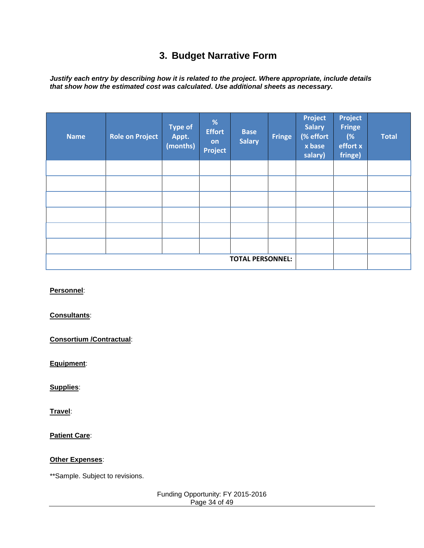# **3. Budget Narrative Form**

<span id="page-33-0"></span>*Justify each entry by describing how it is related to the project. Where appropriate, include details that show how the estimated cost was calculated. Use additional sheets as necessary.*

| <b>Name</b> | <b>Role on Project</b> | <b>Type of</b><br>Appt.<br>(months) | %<br><b>Effort</b><br>on<br><b>Project</b> | <b>Base</b><br><b>Salary</b> | <b>Fringe</b> | Project<br><b>Salary</b><br>(% effort<br>x base<br>salary) | Project<br><b>Fringe</b><br>(%<br>effort x<br>fringe) | <b>Total</b> |
|-------------|------------------------|-------------------------------------|--------------------------------------------|------------------------------|---------------|------------------------------------------------------------|-------------------------------------------------------|--------------|
|             |                        |                                     |                                            |                              |               |                                                            |                                                       |              |
|             |                        |                                     |                                            |                              |               |                                                            |                                                       |              |
|             |                        |                                     |                                            |                              |               |                                                            |                                                       |              |
|             |                        |                                     |                                            |                              |               |                                                            |                                                       |              |
|             |                        |                                     |                                            |                              |               |                                                            |                                                       |              |
|             |                        |                                     |                                            |                              |               |                                                            |                                                       |              |
|             |                        |                                     |                                            | <b>TOTAL PERSONNEL:</b>      |               |                                                            |                                                       |              |

#### **Personnel**:

#### **Consultants**:

**Consortium /Contractual**:

**Equipment**:

**Supplies**:

**Travel**:

**Patient Care**:

#### **Other Expenses**:

\*\*Sample. Subject to revisions.

Funding Opportunity: FY 2015-2016 Page 34 of 49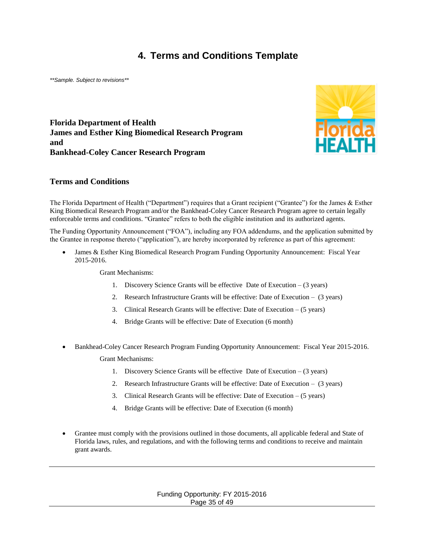## **4. Terms and Conditions Template**

<span id="page-34-0"></span>*\*\*Sample. Subject to revisions\*\**

**Florida Department of Health James and Esther King Biomedical Research Program and Bankhead-Coley Cancer Research Program**



#### **Terms and Conditions**

The Florida Department of Health ("Department") requires that a Grant recipient ("Grantee") for the James & Esther King Biomedical Research Program and/or the Bankhead-Coley Cancer Research Program agree to certain legally enforceable terms and conditions. "Grantee" refers to both the eligible institution and its authorized agents.

The Funding Opportunity Announcement ("FOA"), including any FOA addendums, and the application submitted by the Grantee in response thereto ("application"), are hereby incorporated by reference as part of this agreement:

 James & Esther King Biomedical Research Program Funding Opportunity Announcement: Fiscal Year 2015-2016.

Grant Mechanisms:

- 1. Discovery Science Grants will be effective Date of Execution (3 years)
- 2. Research Infrastructure Grants will be effective: Date of Execution (3 years)
- 3. Clinical Research Grants will be effective: Date of Execution (5 years)
- 4. Bridge Grants will be effective: Date of Execution (6 month)
- Bankhead-Coley Cancer Research Program Funding Opportunity Announcement: Fiscal Year 2015-2016. Grant Mechanisms:
	- 1. Discovery Science Grants will be effective Date of Execution (3 years)
	- 2. Research Infrastructure Grants will be effective: Date of Execution (3 years)
	- 3. Clinical Research Grants will be effective: Date of Execution (5 years)
	- 4. Bridge Grants will be effective: Date of Execution (6 month)
- Grantee must comply with the provisions outlined in those documents, all applicable federal and State of Florida laws, rules, and regulations, and with the following terms and conditions to receive and maintain grant awards.

Funding Opportunity: FY 2015-2016 Page 35 of 49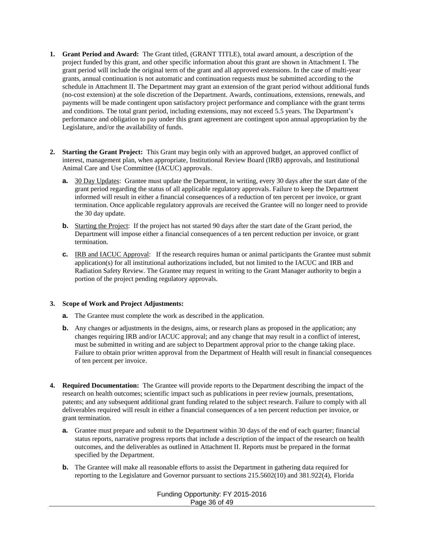- **1. Grant Period and Award:** The Grant titled, (GRANT TITLE), total award amount, a description of the project funded by this grant, and other specific information about this grant are shown in Attachment I. The grant period will include the original term of the grant and all approved extensions. In the case of multi-year grants, annual continuation is not automatic and continuation requests must be submitted according to the schedule in Attachment II. The Department may grant an extension of the grant period without additional funds (no-cost extension) at the sole discretion of the Department. Awards, continuations, extensions, renewals, and payments will be made contingent upon satisfactory project performance and compliance with the grant terms and conditions. The total grant period, including extensions, may not exceed 5.5 years. The Department's performance and obligation to pay under this grant agreement are contingent upon annual appropriation by the Legislature, and/or the availability of funds.
- **2. Starting the Grant Project:** This Grant may begin only with an approved budget, an approved conflict of interest, management plan, when appropriate, Institutional Review Board (IRB) approvals, and Institutional Animal Care and Use Committee (IACUC) approvals.
	- **a.** 30 Day Updates: Grantee must update the Department, in writing, every 30 days after the start date of the grant period regarding the status of all applicable regulatory approvals. Failure to keep the Department informed will result in either a financial consequences of a reduction of ten percent per invoice, or grant termination. Once applicable regulatory approvals are received the Grantee will no longer need to provide the 30 day update.
	- **b.** Starting the Project: If the project has not started 90 days after the start date of the Grant period, the Department will impose either a financial consequences of a ten percent reduction per invoice, or grant termination.
	- **c.** IRB and IACUC Approval: If the research requires human or animal participants the Grantee must submit application(s) for all institutional authorizations included, but not limited to the IACUC and IRB and Radiation Safety Review. The Grantee may request in writing to the Grant Manager authority to begin a portion of the project pending regulatory approvals.

#### **3. Scope of Work and Project Adjustments:**

- **a.** The Grantee must complete the work as described in the application.
- **b.** Any changes or adjustments in the designs, aims, or research plans as proposed in the application; any changes requiring IRB and/or IACUC approval; and any change that may result in a conflict of interest, must be submitted in writing and are subject to Department approval prior to the change taking place. Failure to obtain prior written approval from the Department of Health will result in financial consequences of ten percent per invoice.
- **4. Required Documentation:** The Grantee will provide reports to the Department describing the impact of the research on health outcomes; scientific impact such as publications in peer review journals, presentations, patents; and any subsequent additional grant funding related to the subject research. Failure to comply with all deliverables required will result in either a financial consequences of a ten percent reduction per invoice, or grant termination.
	- **a.** Grantee must prepare and submit to the Department within 30 days of the end of each quarter; financial status reports, narrative progress reports that include a description of the impact of the research on health outcomes, and the deliverables as outlined in Attachment II. Reports must be prepared in the format specified by the Department.
	- **b.** The Grantee will make all reasonable efforts to assist the Department in gathering data required for reporting to the Legislature and Governor pursuant to sections 215.5602(10) and 381.922(4), Florida

Funding Opportunity: FY 2015-2016 Page 36 of 49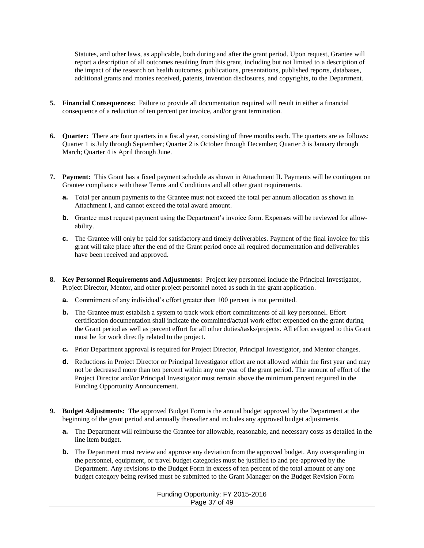Statutes, and other laws, as applicable, both during and after the grant period. Upon request, Grantee will report a description of all outcomes resulting from this grant, including but not limited to a description of the impact of the research on health outcomes, publications, presentations, published reports, databases, additional grants and monies received, patents, invention disclosures, and copyrights, to the Department.

- **5. Financial Consequences:** Failure to provide all documentation required will result in either a financial consequence of a reduction of ten percent per invoice, and/or grant termination.
- **6. Quarter:** There are four quarters in a fiscal year, consisting of three months each. The quarters are as follows: Quarter 1 is July through September; Quarter 2 is October through December; Quarter 3 is January through March; Quarter 4 is April through June.
- **7. Payment:** This Grant has a fixed payment schedule as shown in Attachment II. Payments will be contingent on Grantee compliance with these Terms and Conditions and all other grant requirements.
	- **a.** Total per annum payments to the Grantee must not exceed the total per annum allocation as shown in Attachment I, and cannot exceed the total award amount.
	- **b.** Grantee must request payment using the Department's invoice form. Expenses will be reviewed for allowability.
	- **c.** The Grantee will only be paid for satisfactory and timely deliverables. Payment of the final invoice for this grant will take place after the end of the Grant period once all required documentation and deliverables have been received and approved.
- **8. Key Personnel Requirements and Adjustments:** Project key personnel include the Principal Investigator, Project Director, Mentor, and other project personnel noted as such in the grant application.
	- **a.** Commitment of any individual's effort greater than 100 percent is not permitted.
	- **b.** The Grantee must establish a system to track work effort commitments of all key personnel. Effort certification documentation shall indicate the committed/actual work effort expended on the grant during the Grant period as well as percent effort for all other duties/tasks/projects. All effort assigned to this Grant must be for work directly related to the project.
	- **c.** Prior Department approval is required for Project Director, Principal Investigator, and Mentor changes.
	- **d.** Reductions in Project Director or Principal Investigator effort are not allowed within the first year and may not be decreased more than ten percent within any one year of the grant period. The amount of effort of the Project Director and/or Principal Investigator must remain above the minimum percent required in the Funding Opportunity Announcement.
- **9. Budget Adjustments:** The approved Budget Form is the annual budget approved by the Department at the beginning of the grant period and annually thereafter and includes any approved budget adjustments.
	- **a.** The Department will reimburse the Grantee for allowable, reasonable, and necessary costs as detailed in the line item budget.
	- **b.** The Department must review and approve any deviation from the approved budget. Any overspending in the personnel, equipment, or travel budget categories must be justified to and pre-approved by the Department. Any revisions to the Budget Form in excess of ten percent of the total amount of any one budget category being revised must be submitted to the Grant Manager on the Budget Revision Form

Funding Opportunity: FY 2015-2016 Page 37 of 49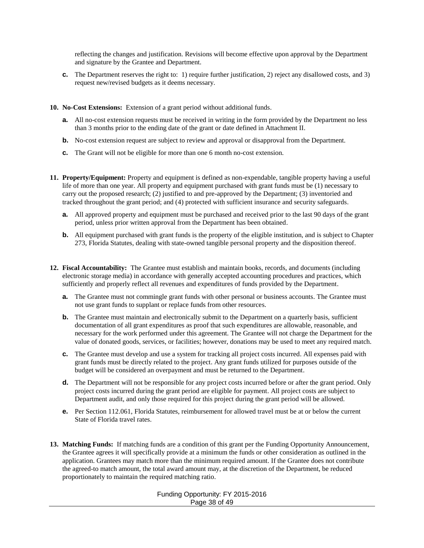reflecting the changes and justification. Revisions will become effective upon approval by the Department and signature by the Grantee and Department.

- **c.** The Department reserves the right to: 1) require further justification, 2) reject any disallowed costs, and 3) request new/revised budgets as it deems necessary.
- **10. No-Cost Extensions:** Extension of a grant period without additional funds.
	- **a.** All no-cost extension requests must be received in writing in the form provided by the Department no less than 3 months prior to the ending date of the grant or date defined in Attachment II.
	- **b.** No-cost extension request are subject to review and approval or disapproval from the Department.
	- **c.** The Grant will not be eligible for more than one 6 month no-cost extension.
- **11. Property/Equipment:** Property and equipment is defined as non-expendable, tangible property having a useful life of more than one year. All property and equipment purchased with grant funds must be (1) necessary to carry out the proposed research; (2) justified to and pre-approved by the Department; (3) inventoried and tracked throughout the grant period; and (4) protected with sufficient insurance and security safeguards.
	- **a.** All approved property and equipment must be purchased and received prior to the last 90 days of the grant period, unless prior written approval from the Department has been obtained.
	- **b.** All equipment purchased with grant funds is the property of the eligible institution, and is subject to Chapter 273, Florida Statutes, dealing with state-owned tangible personal property and the disposition thereof.
- **12. Fiscal Accountability:** The Grantee must establish and maintain books, records, and documents (including electronic storage media) in accordance with generally accepted accounting procedures and practices, which sufficiently and properly reflect all revenues and expenditures of funds provided by the Department.
	- **a.** The Grantee must not commingle grant funds with other personal or business accounts. The Grantee must not use grant funds to supplant or replace funds from other resources.
	- **b.** The Grantee must maintain and electronically submit to the Department on a quarterly basis, sufficient documentation of all grant expenditures as proof that such expenditures are allowable, reasonable, and necessary for the work performed under this agreement. The Grantee will not charge the Department for the value of donated goods, services, or facilities; however, donations may be used to meet any required match.
	- **c.** The Grantee must develop and use a system for tracking all project costs incurred. All expenses paid with grant funds must be directly related to the project. Any grant funds utilized for purposes outside of the budget will be considered an overpayment and must be returned to the Department.
	- **d.** The Department will not be responsible for any project costs incurred before or after the grant period. Only project costs incurred during the grant period are eligible for payment. All project costs are subject to Department audit, and only those required for this project during the grant period will be allowed.
	- **e.** Per Section 112.061, Florida Statutes, reimbursement for allowed travel must be at or below the current State of Florida travel rates.
- **13. Matching Funds:** If matching funds are a condition of this grant per the Funding Opportunity Announcement, the Grantee agrees it will specifically provide at a minimum the funds or other consideration as outlined in the application. Grantees may match more than the minimum required amount. If the Grantee does not contribute the agreed-to match amount, the total award amount may, at the discretion of the Department, be reduced proportionately to maintain the required matching ratio.

Funding Opportunity: FY 2015-2016 Page 38 of 49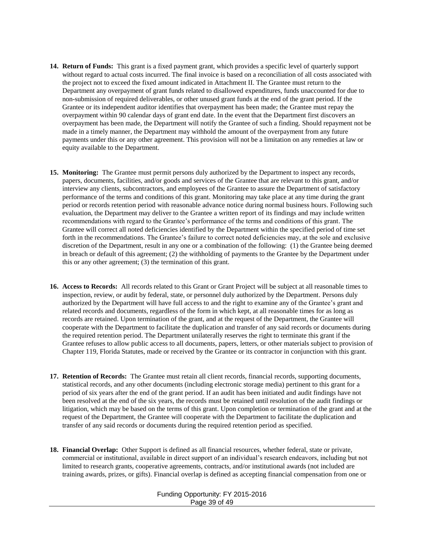- **14. Return of Funds:** This grant is a fixed payment grant, which provides a specific level of quarterly support without regard to actual costs incurred. The final invoice is based on a reconciliation of all costs associated with the project not to exceed the fixed amount indicated in Attachment II. The Grantee must return to the Department any overpayment of grant funds related to disallowed expenditures, funds unaccounted for due to non-submission of required deliverables, or other unused grant funds at the end of the grant period. If the Grantee or its independent auditor identifies that overpayment has been made; the Grantee must repay the overpayment within 90 calendar days of grant end date. In the event that the Department first discovers an overpayment has been made, the Department will notify the Grantee of such a finding. Should repayment not be made in a timely manner, the Department may withhold the amount of the overpayment from any future payments under this or any other agreement. This provision will not be a limitation on any remedies at law or equity available to the Department.
- **15. Monitoring:** The Grantee must permit persons duly authorized by the Department to inspect any records, papers, documents, facilities, and/or goods and services of the Grantee that are relevant to this grant, and/or interview any clients, subcontractors, and employees of the Grantee to assure the Department of satisfactory performance of the terms and conditions of this grant. Monitoring may take place at any time during the grant period or records retention period with reasonable advance notice during normal business hours. Following such evaluation, the Department may deliver to the Grantee a written report of its findings and may include written recommendations with regard to the Grantee's performance of the terms and conditions of this grant. The Grantee will correct all noted deficiencies identified by the Department within the specified period of time set forth in the recommendations. The Grantee's failure to correct noted deficiencies may, at the sole and exclusive discretion of the Department, result in any one or a combination of the following: (1) the Grantee being deemed in breach or default of this agreement; (2) the withholding of payments to the Grantee by the Department under this or any other agreement; (3) the termination of this grant.
- **16. Access to Records:** All records related to this Grant or Grant Project will be subject at all reasonable times to inspection, review, or audit by federal, state, or personnel duly authorized by the Department. Persons duly authorized by the Department will have full access to and the right to examine any of the Grantee's grant and related records and documents, regardless of the form in which kept, at all reasonable times for as long as records are retained. Upon termination of the grant, and at the request of the Department, the Grantee will cooperate with the Department to facilitate the duplication and transfer of any said records or documents during the required retention period. The Department unilaterally reserves the right to terminate this grant if the Grantee refuses to allow public access to all documents, papers, letters, or other materials subject to provision of Chapter 119, Florida Statutes, made or received by the Grantee or its contractor in conjunction with this grant.
- **17. Retention of Records:** The Grantee must retain all client records, financial records, supporting documents, statistical records, and any other documents (including electronic storage media) pertinent to this grant for a period of six years after the end of the grant period. If an audit has been initiated and audit findings have not been resolved at the end of the six years, the records must be retained until resolution of the audit findings or litigation, which may be based on the terms of this grant. Upon completion or termination of the grant and at the request of the Department, the Grantee will cooperate with the Department to facilitate the duplication and transfer of any said records or documents during the required retention period as specified.
- **18. Financial Overlap:** Other Support is defined as all financial resources, whether federal, state or private, commercial or institutional, available in direct support of an individual's research endeavors, including but not limited to research grants, cooperative agreements, contracts, and/or institutional awards (not included are training awards, prizes, or gifts). Financial overlap is defined as accepting financial compensation from one or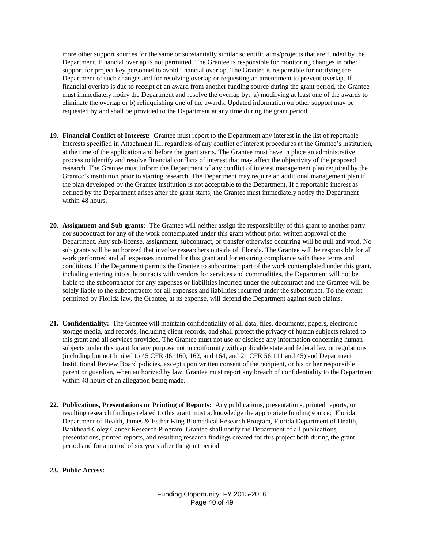more other support sources for the same or substantially similar scientific aims/projects that are funded by the Department. Financial overlap is not permitted. The Grantee is responsible for monitoring changes in other support for project key personnel to avoid financial overlap. The Grantee is responsible for notifying the Department of such changes and for resolving overlap or requesting an amendment to prevent overlap. If financial overlap is due to receipt of an award from another funding source during the grant period, the Grantee must immediately notify the Department and resolve the overlap by: a) modifying at least one of the awards to eliminate the overlap or b) relinquishing one of the awards. Updated information on other support may be requested by and shall be provided to the Department at any time during the grant period.

- **19. Financial Conflict of Interest:** Grantee must report to the Department any interest in the list of reportable interests specified in Attachment III, regardless of any conflict of interest procedures at the Grantee's institution, at the time of the application and before the grant starts. The Grantee must have in place an administrative process to identify and resolve financial conflicts of interest that may affect the objectivity of the proposed research. The Grantee must inform the Department of any conflict of interest management plan required by the Grantee's institution prior to starting research. The Department may require an additional management plan if the plan developed by the Grantee institution is not acceptable to the Department. If a reportable interest as defined by the Department arises after the grant starts, the Grantee must immediately notify the Department within 48 hours.
- **20. Assignment and Sub grants:** The Grantee will neither assign the responsibility of this grant to another party nor subcontract for any of the work contemplated under this grant without prior written approval of the Department. Any sub-license, assignment, subcontract, or transfer otherwise occurring will be null and void. No sub grants will be authorized that involve researchers outside of Florida. The Grantee will be responsible for all work performed and all expenses incurred for this grant and for ensuring compliance with these terms and conditions. If the Department permits the Grantee to subcontract part of the work contemplated under this grant, including entering into subcontracts with vendors for services and commodities, the Department will not be liable to the subcontractor for any expenses or liabilities incurred under the subcontract and the Grantee will be solely liable to the subcontractor for all expenses and liabilities incurred under the subcontract. To the extent permitted by Florida law, the Grantee, at its expense, will defend the Department against such claims.
- **21. Confidentiality:** The Grantee will maintain confidentiality of all data, files, documents, papers, electronic storage media, and records, including client records, and shall protect the privacy of human subjects related to this grant and all services provided. The Grantee must not use or disclose any information concerning human subjects under this grant for any purpose not in conformity with applicable state and federal law or regulations (including but not limited to 45 CFR 46, 160, 162, and 164, and 21 CFR 56.111 and 45) and Department Institutional Review Board policies, except upon written consent of the recipient, or his or her responsible parent or guardian, when authorized by law. Grantee must report any breach of confidentiality to the Department within 48 hours of an allegation being made.
- **22. Publications, Presentations or Printing of Reports:** Any publications, presentations, printed reports, or resulting research findings related to this grant must acknowledge the appropriate funding source: Florida Department of Health, James & Esther King Biomedical Research Program, Florida Department of Health, Bankhead-Coley Cancer Research Program. Grantee shall notify the Department of all publications, presentations, printed reports, and resulting research findings created for this project both during the grant period and for a period of six years after the grant period.

#### **23. Public Access:**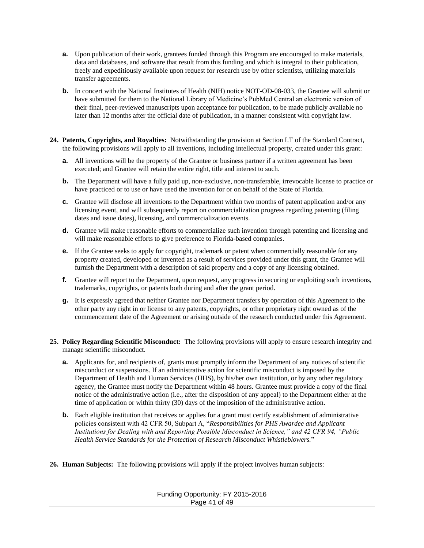- **a.** Upon publication of their work, grantees funded through this Program are encouraged to make materials, data and databases, and software that result from this funding and which is integral to their publication, freely and expeditiously available upon request for research use by other scientists, utilizing materials transfer agreements.
- **b.** In concert with the National Institutes of Health (NIH) notice NOT-OD-08-033, the Grantee will submit or have submitted for them to the National Library of Medicine's PubMed Central an electronic version of their final, peer-reviewed manuscripts upon acceptance for publication, to be made publicly available no later than 12 months after the official date of publication, in a manner consistent with copyright law.
- **24. Patents, Copyrights, and Royalties:** Notwithstanding the provision at Section I.T of the Standard Contract, the following provisions will apply to all inventions, including intellectual property, created under this grant:
	- **a.** All inventions will be the property of the Grantee or business partner if a written agreement has been executed; and Grantee will retain the entire right, title and interest to such.
	- **b.** The Department will have a fully paid up, non-exclusive, non-transferable, irrevocable license to practice or have practiced or to use or have used the invention for or on behalf of the State of Florida.
	- **c.** Grantee will disclose all inventions to the Department within two months of patent application and/or any licensing event, and will subsequently report on commercialization progress regarding patenting (filing dates and issue dates), licensing, and commercialization events.
	- **d.** Grantee will make reasonable efforts to commercialize such invention through patenting and licensing and will make reasonable efforts to give preference to Florida-based companies.
	- **e.** If the Grantee seeks to apply for copyright, trademark or patent when commercially reasonable for any property created, developed or invented as a result of services provided under this grant, the Grantee will furnish the Department with a description of said property and a copy of any licensing obtained.
	- **f.** Grantee will report to the Department, upon request, any progress in securing or exploiting such inventions, trademarks, copyrights, or patents both during and after the grant period.
	- **g.** It is expressly agreed that neither Grantee nor Department transfers by operation of this Agreement to the other party any right in or license to any patents, copyrights, or other proprietary right owned as of the commencement date of the Agreement or arising outside of the research conducted under this Agreement.
- **25. Policy Regarding Scientific Misconduct:** The following provisions will apply to ensure research integrity and manage scientific misconduct.
	- **a.** Applicants for, and recipients of, grants must promptly inform the Department of any notices of scientific misconduct or suspensions. If an administrative action for scientific misconduct is imposed by the Department of Health and Human Services (HHS), by his/her own institution, or by any other regulatory agency, the Grantee must notify the Department within 48 hours. Grantee must provide a copy of the final notice of the administrative action (i.e., after the disposition of any appeal) to the Department either at the time of application or within thirty (30) days of the imposition of the administrative action.
	- **b.** Each eligible institution that receives or applies for a grant must certify establishment of administrative policies consistent with 42 CFR 50, Subpart A, "*Responsibilities for PHS Awardee and Applicant Institutions for Dealing with and Reporting Possible Misconduct in Science," and 42 CFR 94, "Public Health Service Standards for the Protection of Research Misconduct Whistleblowers.*"
- **26. Human Subjects:** The following provisions will apply if the project involves human subjects:

| Funding Opportunity: FY 2015-2016 |
|-----------------------------------|
| Page 41 of 49                     |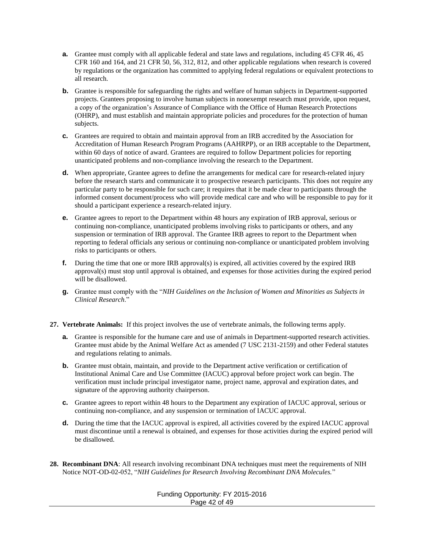- **a.** Grantee must comply with all applicable federal and state laws and regulations, including 45 CFR 46, 45 CFR 160 and 164, and 21 CFR 50, 56, 312, 812, and other applicable regulations when research is covered by regulations or the organization has committed to applying federal regulations or equivalent protections to all research.
- **b.** Grantee is responsible for safeguarding the rights and welfare of human subjects in Department-supported projects. Grantees proposing to involve human subjects in nonexempt research must provide, upon request, a copy of the organization's Assurance of Compliance with the Office of Human Research Protections (OHRP), and must establish and maintain appropriate policies and procedures for the protection of human subjects.
- **c.** Grantees are required to obtain and maintain approval from an IRB accredited by the Association for Accreditation of Human Research Program Programs (AAHRPP), or an IRB acceptable to the Department, within 60 days of notice of award. Grantees are required to follow Department policies for reporting unanticipated problems and non-compliance involving the research to the Department.
- **d.** When appropriate, Grantee agrees to define the arrangements for medical care for research-related injury before the research starts and communicate it to prospective research participants. This does not require any particular party to be responsible for such care; it requires that it be made clear to participants through the informed consent document/process who will provide medical care and who will be responsible to pay for it should a participant experience a research-related injury.
- **e.** Grantee agrees to report to the Department within 48 hours any expiration of IRB approval, serious or continuing non-compliance, unanticipated problems involving risks to participants or others, and any suspension or termination of IRB approval. The Grantee IRB agrees to report to the Department when reporting to federal officials any serious or continuing non-compliance or unanticipated problem involving risks to participants or others.
- **f.** During the time that one or more IRB approval(s) is expired, all activities covered by the expired IRB approval(s) must stop until approval is obtained, and expenses for those activities during the expired period will be disallowed.
- **g.** Grantee must comply with the "*NIH Guidelines on the Inclusion of Women and Minorities as Subjects in Clinical Research*."
- **27. Vertebrate Animals:** If this project involves the use of vertebrate animals, the following terms apply.
	- **a.** Grantee is responsible for the humane care and use of animals in Department-supported research activities. Grantee must abide by the Animal Welfare Act as amended (7 USC 2131-2159) and other Federal statutes and regulations relating to animals.
	- **b.** Grantee must obtain, maintain, and provide to the Department active verification or certification of Institutional Animal Care and Use Committee (IACUC) approval before project work can begin. The verification must include principal investigator name, project name, approval and expiration dates, and signature of the approving authority chairperson.
	- **c.** Grantee agrees to report within 48 hours to the Department any expiration of IACUC approval, serious or continuing non-compliance, and any suspension or termination of IACUC approval.
	- **d.** During the time that the IACUC approval is expired, all activities covered by the expired IACUC approval must discontinue until a renewal is obtained, and expenses for those activities during the expired period will be disallowed.
- **28. Recombinant DNA**: All research involving recombinant DNA techniques must meet the requirements of NIH Notice NOT-OD-02-052, "*NIH Guidelines for Research Involving Recombinant DNA Molecules.*"

#### Funding Opportunity: FY 2015-2016 Page 42 of 49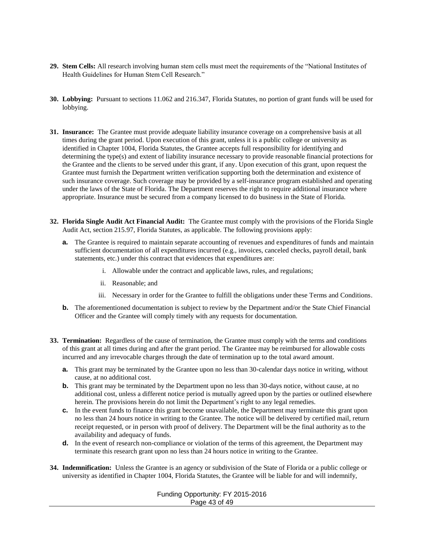- **29. Stem Cells:** All research involving human stem cells must meet the requirements of the "National Institutes of Health Guidelines for Human Stem Cell Research."
- **30. Lobbying:** Pursuant to sections 11.062 and 216.347, Florida Statutes, no portion of grant funds will be used for lobbying.
- **31. Insurance:** The Grantee must provide adequate liability insurance coverage on a comprehensive basis at all times during the grant period. Upon execution of this grant, unless it is a public college or university as identified in Chapter 1004, Florida Statutes, the Grantee accepts full responsibility for identifying and determining the type(s) and extent of liability insurance necessary to provide reasonable financial protections for the Grantee and the clients to be served under this grant, if any. Upon execution of this grant, upon request the Grantee must furnish the Department written verification supporting both the determination and existence of such insurance coverage. Such coverage may be provided by a self-insurance program established and operating under the laws of the State of Florida. The Department reserves the right to require additional insurance where appropriate. Insurance must be secured from a company licensed to do business in the State of Florida.
- **32. Florida Single Audit Act Financial Audit:** The Grantee must comply with the provisions of the Florida Single Audit Act, section 215.97, Florida Statutes, as applicable. The following provisions apply:
	- **a.** The Grantee is required to maintain separate accounting of revenues and expenditures of funds and maintain sufficient documentation of all expenditures incurred (e.g., invoices, canceled checks, payroll detail, bank statements, etc.) under this contract that evidences that expenditures are:
		- i. Allowable under the contract and applicable laws, rules, and regulations;
		- ii. Reasonable; and
		- iii. Necessary in order for the Grantee to fulfill the obligations under these Terms and Conditions.
	- **b.** The aforementioned documentation is subject to review by the Department and/or the State Chief Financial Officer and the Grantee will comply timely with any requests for documentation.
- **33. Termination:** Regardless of the cause of termination, the Grantee must comply with the terms and conditions of this grant at all times during and after the grant period. The Grantee may be reimbursed for allowable costs incurred and any irrevocable charges through the date of termination up to the total award amount.
	- **a.** This grant may be terminated by the Grantee upon no less than 30-calendar days notice in writing, without cause, at no additional cost.
	- **b.** This grant may be terminated by the Department upon no less than 30-days notice, without cause, at no additional cost, unless a different notice period is mutually agreed upon by the parties or outlined elsewhere herein. The provisions herein do not limit the Department's right to any legal remedies.
	- **c.** In the event funds to finance this grant become unavailable, the Department may terminate this grant upon no less than 24 hours notice in writing to the Grantee. The notice will be delivered by certified mail, return receipt requested, or in person with proof of delivery. The Department will be the final authority as to the availability and adequacy of funds.
	- **d.** In the event of research non-compliance or violation of the terms of this agreement, the Department may terminate this research grant upon no less than 24 hours notice in writing to the Grantee.
- **34. Indemnification:** Unless the Grantee is an agency or subdivision of the State of Florida or a public college or university as identified in Chapter 1004, Florida Statutes, the Grantee will be liable for and will indemnify,

Funding Opportunity: FY 2015-2016 Page 43 of 49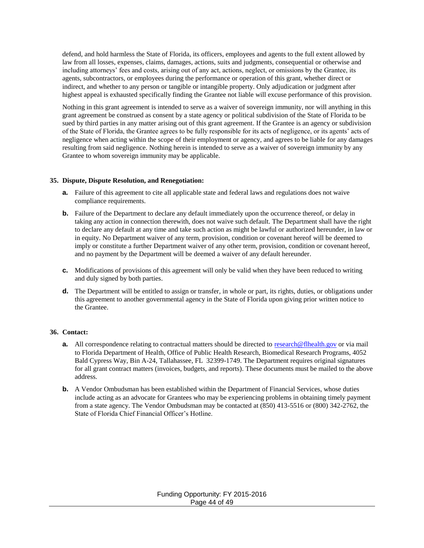defend, and hold harmless the State of Florida, its officers, employees and agents to the full extent allowed by law from all losses, expenses, claims, damages, actions, suits and judgments, consequential or otherwise and including attorneys' fees and costs, arising out of any act, actions, neglect, or omissions by the Grantee, its agents, subcontractors, or employees during the performance or operation of this grant, whether direct or indirect, and whether to any person or tangible or intangible property. Only adjudication or judgment after highest appeal is exhausted specifically finding the Grantee not liable will excuse performance of this provision.

Nothing in this grant agreement is intended to serve as a waiver of sovereign immunity, nor will anything in this grant agreement be construed as consent by a state agency or political subdivision of the State of Florida to be sued by third parties in any matter arising out of this grant agreement. If the Grantee is an agency or subdivision of the State of Florida, the Grantee agrees to be fully responsible for its acts of negligence, or its agents' acts of negligence when acting within the scope of their employment or agency, and agrees to be liable for any damages resulting from said negligence. Nothing herein is intended to serve as a waiver of sovereign immunity by any Grantee to whom sovereign immunity may be applicable.

#### **35. Dispute, Dispute Resolution, and Renegotiation:**

- **a.** Failure of this agreement to cite all applicable state and federal laws and regulations does not waive compliance requirements.
- **b.** Failure of the Department to declare any default immediately upon the occurrence thereof, or delay in taking any action in connection therewith, does not waive such default. The Department shall have the right to declare any default at any time and take such action as might be lawful or authorized hereunder, in law or in equity. No Department waiver of any term, provision, condition or covenant hereof will be deemed to imply or constitute a further Department waiver of any other term, provision, condition or covenant hereof, and no payment by the Department will be deemed a waiver of any default hereunder.
- **c.** Modifications of provisions of this agreement will only be valid when they have been reduced to writing and duly signed by both parties.
- **d.** The Department will be entitled to assign or transfer, in whole or part, its rights, duties, or obligations under this agreement to another governmental agency in the State of Florida upon giving prior written notice to the Grantee.

#### **36. Contact:**

- **a.** All correspondence relating to contractual matters should be directed to [research@flhealth.gov](mailto:research@flhealth.gov) or via mail to Florida Department of Health, Office of Public Health Research, Biomedical Research Programs, 4052 Bald Cypress Way, Bin A-24, Tallahassee, FL 32399-1749. The Department requires original signatures for all grant contract matters (invoices, budgets, and reports). These documents must be mailed to the above address.
- **b.** A Vendor Ombudsman has been established within the Department of Financial Services, whose duties include acting as an advocate for Grantees who may be experiencing problems in obtaining timely payment from a state agency. The Vendor Ombudsman may be contacted at (850) 413-5516 or (800) 342-2762, the State of Florida Chief Financial Officer's Hotline.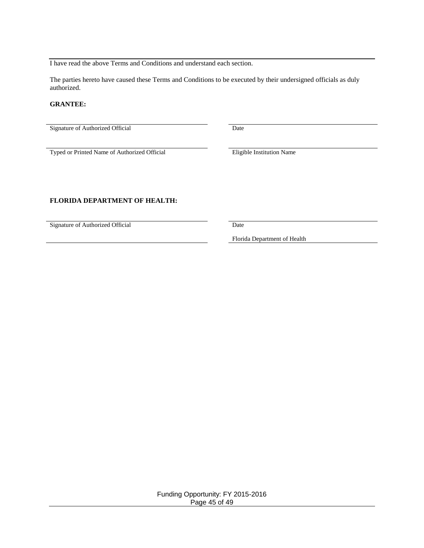I have read the above Terms and Conditions and understand each section.

The parties hereto have caused these Terms and Conditions to be executed by their undersigned officials as duly authorized.

#### **GRANTEE:**

Signature of Authorized Official Date

Typed or Printed Name of Authorized Official Eligible Institution Name

#### **FLORIDA DEPARTMENT OF HEALTH:**

Signature of Authorized Official Date

Florida Department of Health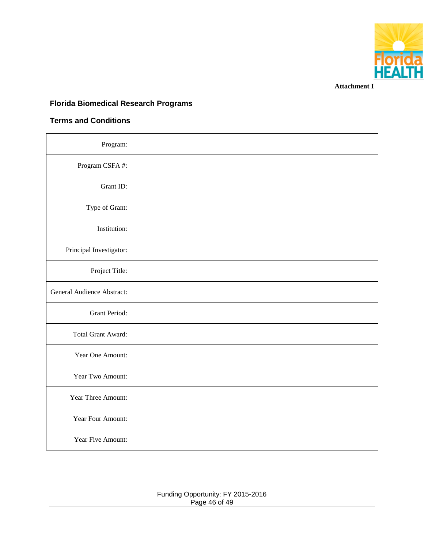

**Attachment I**

## **Florida Biomedical Research Programs**

#### **Terms and Conditions**

| Program:                          |  |
|-----------------------------------|--|
| Program CSFA#:                    |  |
| Grant ID:                         |  |
| Type of Grant:                    |  |
| Institution:                      |  |
| Principal Investigator:           |  |
| Project Title:                    |  |
| <b>General Audience Abstract:</b> |  |
| Grant Period:                     |  |
| Total Grant Award:                |  |
| Year One Amount:                  |  |
| Year Two Amount:                  |  |
| Year Three Amount:                |  |
| Year Four Amount:                 |  |
| Year Five Amount:                 |  |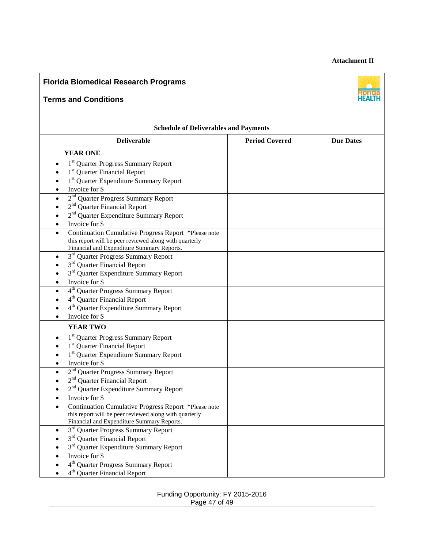#### **Attachment II**

## **Florida Biomedical Research Programs**

#### **Terms and Conditions**



| <b>Schedule of Deliverables and Payments</b>                                                                                                                                                                                                                                                                                                            |                       |                  |  |  |
|---------------------------------------------------------------------------------------------------------------------------------------------------------------------------------------------------------------------------------------------------------------------------------------------------------------------------------------------------------|-----------------------|------------------|--|--|
| <b>Deliverable</b>                                                                                                                                                                                                                                                                                                                                      | <b>Period Covered</b> | <b>Due Dates</b> |  |  |
| <b>YEAR ONE</b>                                                                                                                                                                                                                                                                                                                                         |                       |                  |  |  |
| 1 <sup>st</sup> Quarter Progress Summary Report<br>$\bullet$<br>1 <sup>st</sup> Quarter Financial Report<br>1 <sup>st</sup> Quarter Expenditure Summary Report<br>Invoice for \$<br>2 <sup>nd</sup> Quarter Progress Summary Report<br>2 <sup>nd</sup> Quarter Financial Report<br>2 <sup>nd</sup> Quarter Expenditure Summary Report<br>Invoice for \$ |                       |                  |  |  |
| Continuation Cumulative Progress Report *Please note<br>$\bullet$<br>this report will be peer reviewed along with quarterly<br>Financial and Expenditure Summary Reports.                                                                                                                                                                               |                       |                  |  |  |
| 3 <sup>rd</sup> Quarter Progress Summary Report<br>$\bullet$<br>3 <sup>rd</sup> Quarter Financial Report<br>3 <sup>rd</sup> Quarter Expenditure Summary Report<br>Invoice for \$<br>4 <sup>th</sup> Quarter Progress Summary Report<br>4 <sup>th</sup> Quarter Financial Report<br>4 <sup>th</sup> Quarter Expenditure Summary Report<br>Invoice for \$ |                       |                  |  |  |
| <b>YEAR TWO</b>                                                                                                                                                                                                                                                                                                                                         |                       |                  |  |  |
| 1 <sup>st</sup> Quarter Progress Summary Report<br>1 <sup>st</sup> Quarter Financial Report<br>1 <sup>st</sup> Quarter Expenditure Summary Report<br>Invoice for \$                                                                                                                                                                                     |                       |                  |  |  |
| 2 <sup>nd</sup> Quarter Progress Summary Report<br>2 <sup>nd</sup> Quarter Financial Report<br>2 <sup>nd</sup> Quarter Expenditure Summary Report<br>Invoice for \$                                                                                                                                                                                     |                       |                  |  |  |
| Continuation Cumulative Progress Report *Please note<br>$\bullet$<br>this report will be peer reviewed along with quarterly<br>Financial and Expenditure Summary Reports.                                                                                                                                                                               |                       |                  |  |  |
| 3 <sup>rd</sup> Quarter Progress Summary Report<br>3 <sup>rd</sup> Quarter Financial Report<br>3 <sup>rd</sup> Quarter Expenditure Summary Report<br>Invoice for \$<br>4 <sup>th</sup> Quarter Progress Summary Report                                                                                                                                  |                       |                  |  |  |
| 4 <sup>th</sup> Quarter Financial Report                                                                                                                                                                                                                                                                                                                |                       |                  |  |  |

#### Funding Opportunity: FY 2015-2016 Page 47 of 49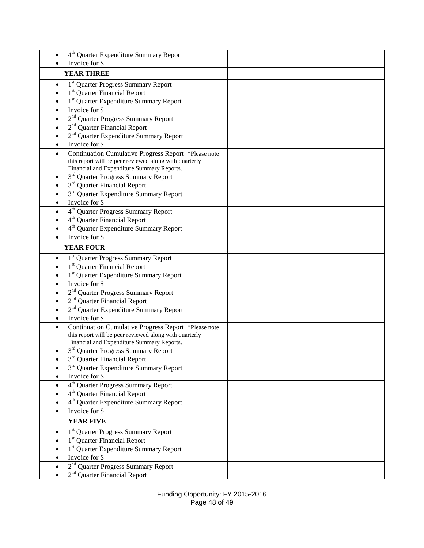| 4 <sup>th</sup> Quarter Expenditure Summary Report           |  |
|--------------------------------------------------------------|--|
| Invoice for \$                                               |  |
| <b>YEAR THREE</b>                                            |  |
| 1 <sup>st</sup> Quarter Progress Summary Report              |  |
| 1 <sup>st</sup> Quarter Financial Report                     |  |
| 1 <sup>st</sup> Quarter Expenditure Summary Report           |  |
| Invoice for \$                                               |  |
| 2 <sup>nd</sup> Quarter Progress Summary Report<br>$\bullet$ |  |
| 2 <sup>nd</sup> Quarter Financial Report                     |  |
| 2 <sup>nd</sup> Quarter Expenditure Summary Report           |  |
| Invoice for \$                                               |  |
| Continuation Cumulative Progress Report *Please note         |  |
| this report will be peer reviewed along with quarterly       |  |
| Financial and Expenditure Summary Reports.                   |  |
| 3 <sup>rd</sup> Quarter Progress Summary Report<br>$\bullet$ |  |
| 3 <sup>rd</sup> Quarter Financial Report                     |  |
| 3 <sup>rd</sup> Quarter Expenditure Summary Report           |  |
| Invoice for \$                                               |  |
| 4 <sup>th</sup> Quarter Progress Summary Report              |  |
| 4 <sup>th</sup> Quarter Financial Report                     |  |
| 4 <sup>th</sup> Quarter Expenditure Summary Report           |  |
| Invoice for \$                                               |  |
| <b>YEAR FOUR</b>                                             |  |
| 1 <sup>st</sup> Quarter Progress Summary Report              |  |
| 1 <sup>st</sup> Quarter Financial Report                     |  |
| 1 <sup>st</sup> Quarter Expenditure Summary Report           |  |
| Invoice for \$<br>$\bullet$                                  |  |
| 2 <sup>nd</sup> Quarter Progress Summary Report<br>$\bullet$ |  |
| 2 <sup>nd</sup> Quarter Financial Report                     |  |
| 2 <sup>nd</sup> Quarter Expenditure Summary Report           |  |
| Invoice for \$                                               |  |
| Continuation Cumulative Progress Report *Please note         |  |
| this report will be peer reviewed along with quarterly       |  |
| Financial and Expenditure Summary Reports.                   |  |
| 3 <sup>rd</sup> Quarter Progress Summary Report              |  |
| 3 <sup>rd</sup> Quarter Financial Report                     |  |
| 3 <sup>rd</sup> Quarter Expenditure Summary Report           |  |
| Invoice for \$                                               |  |
| 4 <sup>th</sup> Quarter Progress Summary Report              |  |
| 4 <sup>th</sup> Quarter Financial Report                     |  |
| 4 <sup>th</sup> Quarter Expenditure Summary Report           |  |
| Invoice for \$                                               |  |
| <b>YEAR FIVE</b>                                             |  |
| 1 <sup>st</sup> Quarter Progress Summary Report              |  |
| 1 <sup>st</sup> Quarter Financial Report                     |  |
| 1 <sup>st</sup> Quarter Expenditure Summary Report           |  |
| Invoice for \$                                               |  |
| 2 <sup>nd</sup> Quarter Progress Summary Report              |  |
| 2 <sup>nd</sup> Quarter Financial Report                     |  |

Funding Opportunity: FY 2015-2016 Page 48 of 49